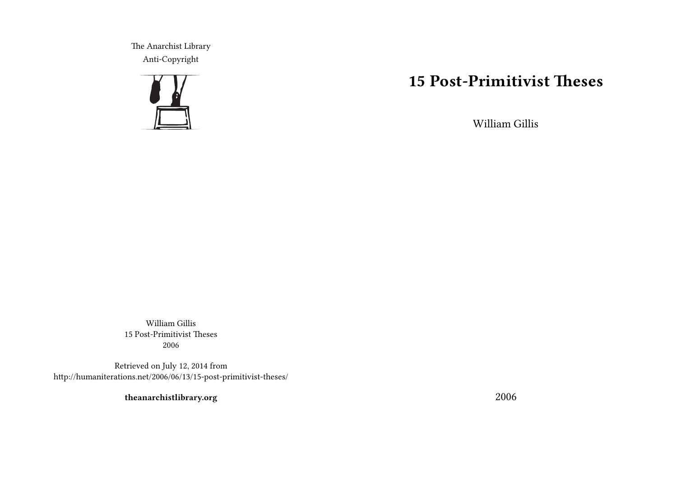The Anarchist Library Anti-Copyright



# **15 Post-Primitivist Theses**

William Gillis

William Gillis 15 Post-Primitivist Theses 2006

Retrieved on July 12, 2014 from http://humaniterations.net/2006/06/13/15-post-primitivist-theses/

**theanarchistlibrary.org**

2006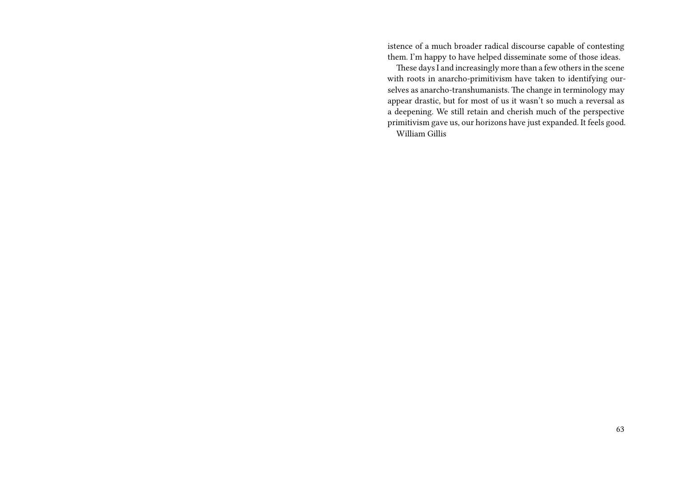istence of a much broader radical discourse capable of contesting them. I'm happy to have helped disseminate some of those ideas.

These days I and increasingly more than a few others in the scene with roots in anarcho-primitivism have taken to identifying ourselves as anarcho-transhumanists. The change in terminology may appear drastic, but for most of us it wasn't so much a reversal as a deepening. We still retain and cherish much of the perspective primitivism gave us, our horizons have just expanded. It feels good. William Gillis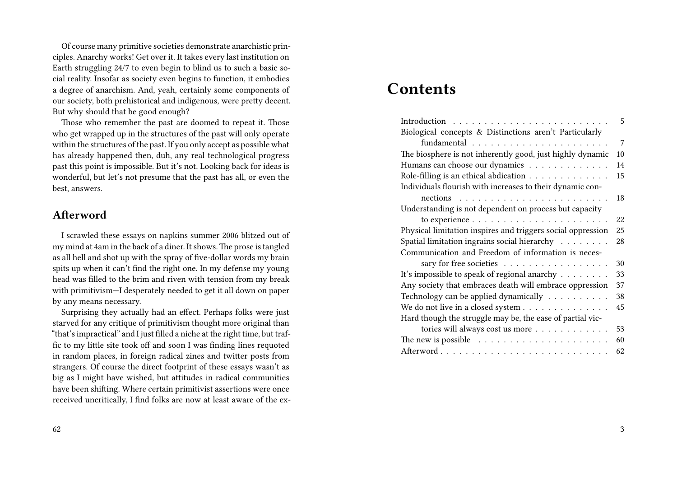Of course many primitive societies demonstrate anarchistic principles. Anarchy works! Get over it. It takes every last institution on Earth struggling 24/7 to even begin to blind us to such a basic social reality. Insofar as society even begins to function, it embodies a degree of anarchism. And, yeah, certainly some components of our society, both prehistorical and indigenous, were pretty decent. But why should that be good enough?

Those who remember the past are doomed to repeat it. Those who get wrapped up in the structures of the past will only operate within the structures of the past. If you only accept as possible what has already happened then, duh, any real technological progress past this point is impossible. But it's not. Looking back for ideas is wonderful, but let's not presume that the past has all, or even the best, answers.

#### **Afterword**

I scrawled these essays on napkins summer 2006 blitzed out of my mind at 4am in the back of a diner. It shows.The prose is tangled as all hell and shot up with the spray of five-dollar words my brain spits up when it can't find the right one. In my defense my young head was filled to the brim and riven with tension from my break with primitivism—I desperately needed to get it all down on paper by any means necessary.

Surprising they actually had an effect. Perhaps folks were just starved for any critique of primitivism thought more original than "that's impractical" and I just filled a niche at the right time, but traffic to my little site took off and soon I was finding lines requoted in random places, in foreign radical zines and twitter posts from strangers. Of course the direct footprint of these essays wasn't as big as I might have wished, but attitudes in radical communities have been shifting. Where certain primitivist assertions were once received uncritically, I find folks are now at least aware of the ex-

#### 62

# **Contents**

|                                                                        | 5  |
|------------------------------------------------------------------------|----|
| Biological concepts & Distinctions aren't Particularly                 |    |
|                                                                        | 7  |
| The biosphere is not inherently good, just highly dynamic              | 10 |
| Humans can choose our dynamics                                         | 14 |
| Role-filling is an ethical abdication                                  | 15 |
| Individuals flourish with increases to their dynamic con-              |    |
| nections $\ldots \ldots \ldots \ldots \ldots \ldots \ldots$            | 18 |
| Understanding is not dependent on process but capacity                 |    |
|                                                                        | 22 |
| Physical limitation inspires and triggers social oppression            | 25 |
| Spatial limitation ingrains social hierarchy                           | 28 |
| Communication and Freedom of information is neces-                     |    |
| sary for free societies                                                | 30 |
| It's impossible to speak of regional anarchy                           | 33 |
| Any society that embraces death will embrace oppression                | 37 |
| Technology can be applied dynamically                                  | 38 |
| We do not live in a closed system                                      | 45 |
| Hard though the struggle may be, the ease of partial vic-              |    |
| tories will always cost us more                                        | 53 |
| The new is possible $\ldots \ldots \ldots \ldots \ldots \ldots \ldots$ | 60 |
|                                                                        | 62 |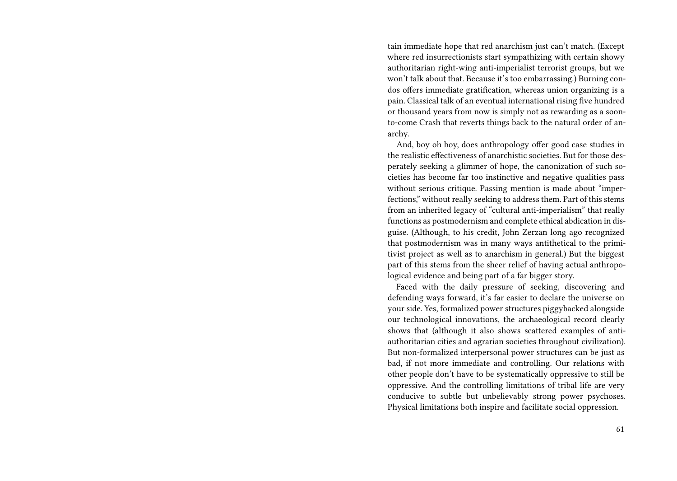tain immediate hope that red anarchism just can't match. (Except where red insurrectionists start sympathizing with certain showy authoritarian right-wing anti-imperialist terrorist groups, but we won't talk about that. Because it's too embarrassing.) Burning condos offers immediate gratification, whereas union organizing is a pain. Classical talk of an eventual international rising five hundred or thousand years from now is simply not as rewarding as a soonto-come Crash that reverts things back to the natural order of anarchy.

And, boy oh boy, does anthropology offer good case studies in the realistic effectiveness of anarchistic societies. But for those desperately seeking a glimmer of hope, the canonization of such societies has become far too instinctive and negative qualities pass without serious critique. Passing mention is made about "imperfections," without really seeking to address them. Part of this stems from an inherited legacy of "cultural anti-imperialism" that really functions as postmodernism and complete ethical abdication in disguise. (Although, to his credit, John Zerzan long ago recognized that postmodernism was in many ways antithetical to the primitivist project as well as to anarchism in general.) But the biggest part of this stems from the sheer relief of having actual anthropological evidence and being part of a far bigger story.

Faced with the daily pressure of seeking, discovering and defending ways forward, it's far easier to declare the universe on your side. Yes, formalized power structures piggybacked alongside our technological innovations, the archaeological record clearly shows that (although it also shows scattered examples of antiauthoritarian cities and agrarian societies throughout civilization). But non-formalized interpersonal power structures can be just as bad, if not more immediate and controlling. Our relations with other people don't have to be systematically oppressive to still be oppressive. And the controlling limitations of tribal life are very conducive to subtle but unbelievably strong power psychoses. Physical limitations both inspire and facilitate social oppression.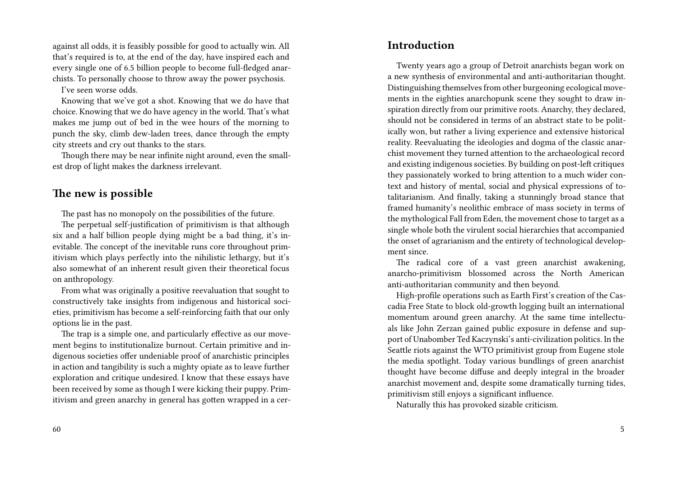against all odds, it is feasibly possible for good to actually win. All that's required is to, at the end of the day, have inspired each and every single one of 6.5 billion people to become full-fledged anarchists. To personally choose to throw away the power psychosis.

I've seen worse odds.

Knowing that we've got a shot. Knowing that we do have that choice. Knowing that we do have agency in the world. That's what makes me jump out of bed in the wee hours of the morning to punch the sky, climb dew-laden trees, dance through the empty city streets and cry out thanks to the stars.

Though there may be near infinite night around, even the smallest drop of light makes the darkness irrelevant.

#### **The new is possible**

The past has no monopoly on the possibilities of the future.

The perpetual self-justification of primitivism is that although six and a half billion people dying might be a bad thing, it's inevitable. The concept of the inevitable runs core throughout primitivism which plays perfectly into the nihilistic lethargy, but it's also somewhat of an inherent result given their theoretical focus on anthropology.

From what was originally a positive reevaluation that sought to constructively take insights from indigenous and historical societies, primitivism has become a self-reinforcing faith that our only options lie in the past.

The trap is a simple one, and particularly effective as our movement begins to institutionalize burnout. Certain primitive and indigenous societies offer undeniable proof of anarchistic principles in action and tangibility is such a mighty opiate as to leave further exploration and critique undesired. I know that these essays have been received by some as though I were kicking their puppy. Primitivism and green anarchy in general has gotten wrapped in a cer-

#### **Introduction**

Twenty years ago a group of Detroit anarchists began work on a new synthesis of environmental and anti-authoritarian thought. Distinguishing themselves from other burgeoning ecological movements in the eighties anarchopunk scene they sought to draw inspiration directly from our primitive roots. Anarchy, they declared, should not be considered in terms of an abstract state to be politically won, but rather a living experience and extensive historical reality. Reevaluating the ideologies and dogma of the classic anarchist movement they turned attention to the archaeological record and existing indigenous societies. By building on post-left critiques they passionately worked to bring attention to a much wider context and history of mental, social and physical expressions of totalitarianism. And finally, taking a stunningly broad stance that framed humanity's neolithic embrace of mass society in terms of the mythological Fall from Eden, the movement chose to target as a single whole both the virulent social hierarchies that accompanied the onset of agrarianism and the entirety of technological development since.

The radical core of a vast green anarchist awakening, anarcho-primitivism blossomed across the North American anti-authoritarian community and then beyond.

High-profile operations such as Earth First's creation of the Cascadia Free State to block old-growth logging built an international momentum around green anarchy. At the same time intellectuals like John Zerzan gained public exposure in defense and support of Unabomber Ted Kaczynski's anti-civilization politics. In the Seattle riots against the WTO primitivist group from Eugene stole the media spotlight. Today various bundlings of green anarchist thought have become diffuse and deeply integral in the broader anarchist movement and, despite some dramatically turning tides, primitivism still enjoys a significant influence.

Naturally this has provoked sizable criticism.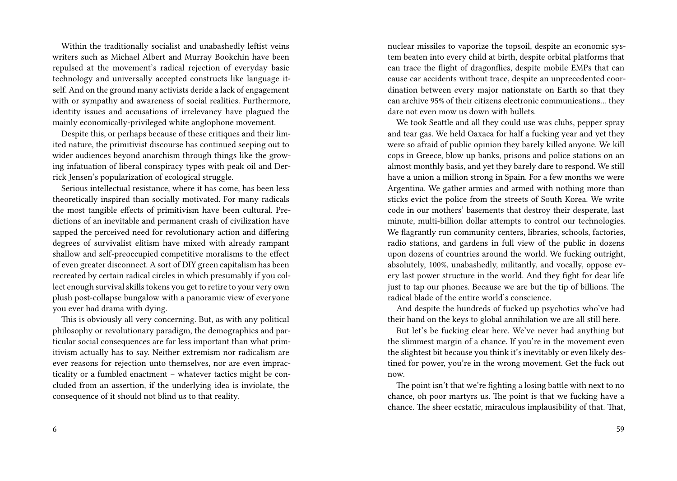Within the traditionally socialist and unabashedly leftist veins writers such as Michael Albert and Murray Bookchin have been repulsed at the movement's radical rejection of everyday basic technology and universally accepted constructs like language itself. And on the ground many activists deride a lack of engagement with or sympathy and awareness of social realities. Furthermore, identity issues and accusations of irrelevancy have plagued the mainly economically-privileged white anglophone movement.

Despite this, or perhaps because of these critiques and their limited nature, the primitivist discourse has continued seeping out to wider audiences beyond anarchism through things like the growing infatuation of liberal conspiracy types with peak oil and Derrick Jensen's popularization of ecological struggle.

Serious intellectual resistance, where it has come, has been less theoretically inspired than socially motivated. For many radicals the most tangible effects of primitivism have been cultural. Predictions of an inevitable and permanent crash of civilization have sapped the perceived need for revolutionary action and differing degrees of survivalist elitism have mixed with already rampant shallow and self-preoccupied competitive moralisms to the effect of even greater disconnect. A sort of DIY green capitalism has been recreated by certain radical circles in which presumably if you collect enough survival skills tokens you get to retire to your very own plush post-collapse bungalow with a panoramic view of everyone you ever had drama with dying.

This is obviously all very concerning. But, as with any political philosophy or revolutionary paradigm, the demographics and particular social consequences are far less important than what primitivism actually has to say. Neither extremism nor radicalism are ever reasons for rejection unto themselves, nor are even impracticality or a fumbled enactment – whatever tactics might be concluded from an assertion, if the underlying idea is inviolate, the consequence of it should not blind us to that reality.

nuclear missiles to vaporize the topsoil, despite an economic system beaten into every child at birth, despite orbital platforms that can trace the flight of dragonflies, despite mobile EMPs that can cause car accidents without trace, despite an unprecedented coordination between every major nationstate on Earth so that they can archive 95% of their citizens electronic communications… they dare not even mow us down with bullets.

We took Seattle and all they could use was clubs, pepper spray and tear gas. We held Oaxaca for half a fucking year and yet they were so afraid of public opinion they barely killed anyone. We kill cops in Greece, blow up banks, prisons and police stations on an almost monthly basis, and yet they barely dare to respond. We still have a union a million strong in Spain. For a few months we were Argentina. We gather armies and armed with nothing more than sticks evict the police from the streets of South Korea. We write code in our mothers' basements that destroy their desperate, last minute, multi-billion dollar attempts to control our technologies. We flagrantly run community centers, libraries, schools, factories, radio stations, and gardens in full view of the public in dozens upon dozens of countries around the world. We fucking outright, absolutely, 100%, unabashedly, militantly, and vocally, oppose every last power structure in the world. And they fight for dear life just to tap our phones. Because we are but the tip of billions. The radical blade of the entire world's conscience.

And despite the hundreds of fucked up psychotics who've had their hand on the keys to global annihilation we are all still here.

But let's be fucking clear here. We've never had anything but the slimmest margin of a chance. If you're in the movement even the slightest bit because you think it's inevitably or even likely destined for power, you're in the wrong movement. Get the fuck out now.

The point isn't that we're fighting a losing battle with next to no chance, oh poor martyrs us. The point is that we fucking have a chance. The sheer ecstatic, miraculous implausibility of that. That,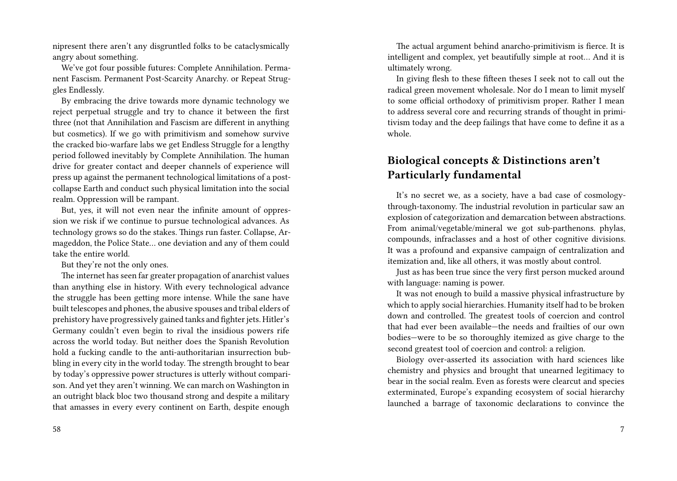nipresent there aren't any disgruntled folks to be cataclysmically angry about something.

We've got four possible futures: Complete Annihilation. Permanent Fascism. Permanent Post-Scarcity Anarchy. or Repeat Struggles Endlessly.

By embracing the drive towards more dynamic technology we reject perpetual struggle and try to chance it between the first three (not that Annihilation and Fascism are different in anything but cosmetics). If we go with primitivism and somehow survive the cracked bio-warfare labs we get Endless Struggle for a lengthy period followed inevitably by Complete Annihilation. The human drive for greater contact and deeper channels of experience will press up against the permanent technological limitations of a postcollapse Earth and conduct such physical limitation into the social realm. Oppression will be rampant.

But, yes, it will not even near the infinite amount of oppression we risk if we continue to pursue technological advances. As technology grows so do the stakes. Things run faster. Collapse, Armageddon, the Police State… one deviation and any of them could take the entire world.

But they're not the only ones.

The internet has seen far greater propagation of anarchist values than anything else in history. With every technological advance the struggle has been getting more intense. While the sane have built telescopes and phones, the abusive spouses and tribal elders of prehistory have progressively gained tanks and fighter jets. Hitler's Germany couldn't even begin to rival the insidious powers rife across the world today. But neither does the Spanish Revolution hold a fucking candle to the anti-authoritarian insurrection bubbling in every city in the world today. The strength brought to bear by today's oppressive power structures is utterly without comparison. And yet they aren't winning. We can march on Washington in an outright black bloc two thousand strong and despite a military that amasses in every every continent on Earth, despite enough

The actual argument behind anarcho-primitivism is fierce. It is intelligent and complex, yet beautifully simple at root… And it is ultimately wrong.

In giving flesh to these fifteen theses I seek not to call out the radical green movement wholesale. Nor do I mean to limit myself to some official orthodoxy of primitivism proper. Rather I mean to address several core and recurring strands of thought in primitivism today and the deep failings that have come to define it as a whole.

### **Biological concepts & Distinctions aren't Particularly fundamental**

It's no secret we, as a society, have a bad case of cosmologythrough-taxonomy. The industrial revolution in particular saw an explosion of categorization and demarcation between abstractions. From animal/vegetable/mineral we got sub-parthenons. phylas, compounds, infraclasses and a host of other cognitive divisions. It was a profound and expansive campaign of centralization and itemization and, like all others, it was mostly about control.

Just as has been true since the very first person mucked around with language: naming is power.

It was not enough to build a massive physical infrastructure by which to apply social hierarchies. Humanity itself had to be broken down and controlled. The greatest tools of coercion and control that had ever been available—the needs and frailties of our own bodies—were to be so thoroughly itemized as give charge to the second greatest tool of coercion and control: a religion.

Biology over-asserted its association with hard sciences like chemistry and physics and brought that unearned legitimacy to bear in the social realm. Even as forests were clearcut and species exterminated, Europe's expanding ecosystem of social hierarchy launched a barrage of taxonomic declarations to convince the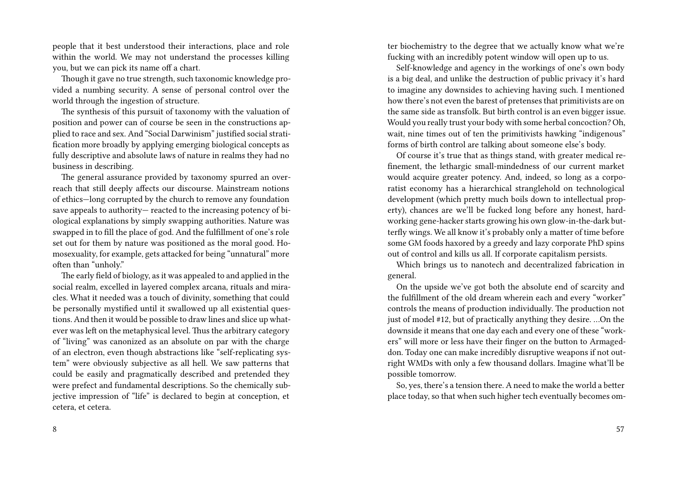people that it best understood their interactions, place and role within the world. We may not understand the processes killing you, but we can pick its name off a chart.

Though it gave no true strength, such taxonomic knowledge provided a numbing security. A sense of personal control over the world through the ingestion of structure.

The synthesis of this pursuit of taxonomy with the valuation of position and power can of course be seen in the constructions applied to race and sex. And "Social Darwinism" justified social stratification more broadly by applying emerging biological concepts as fully descriptive and absolute laws of nature in realms they had no business in describing.

The general assurance provided by taxonomy spurred an overreach that still deeply affects our discourse. Mainstream notions of ethics—long corrupted by the church to remove any foundation save appeals to authority— reacted to the increasing potency of biological explanations by simply swapping authorities. Nature was swapped in to fill the place of god. And the fulfillment of one's role set out for them by nature was positioned as the moral good. Homosexuality, for example, gets attacked for being "unnatural" more often than "unholy."

The early field of biology, as it was appealed to and applied in the social realm, excelled in layered complex arcana, rituals and miracles. What it needed was a touch of divinity, something that could be personally mystified until it swallowed up all existential questions. And then it would be possible to draw lines and slice up whatever was left on the metaphysical level. Thus the arbitrary category of "living" was canonized as an absolute on par with the charge of an electron, even though abstractions like "self-replicating system" were obviously subjective as all hell. We saw patterns that could be easily and pragmatically described and pretended they were prefect and fundamental descriptions. So the chemically subjective impression of "life" is declared to begin at conception, et cetera, et cetera.

ter biochemistry to the degree that we actually know what we're fucking with an incredibly potent window will open up to us.

Self-knowledge and agency in the workings of one's own body is a big deal, and unlike the destruction of public privacy it's hard to imagine any downsides to achieving having such. I mentioned how there's not even the barest of pretenses that primitivists are on the same side as transfolk. But birth control is an even bigger issue. Would you really trust your body with some herbal concoction? Oh, wait, nine times out of ten the primitivists hawking "indigenous" forms of birth control are talking about someone else's body.

Of course it's true that as things stand, with greater medical refinement, the lethargic small-mindedness of our current market would acquire greater potency. And, indeed, so long as a corporatist economy has a hierarchical stranglehold on technological development (which pretty much boils down to intellectual property), chances are we'll be fucked long before any honest, hardworking gene-hacker starts growing his own glow-in-the-dark butterfly wings. We all know it's probably only a matter of time before some GM foods haxored by a greedy and lazy corporate PhD spins out of control and kills us all. If corporate capitalism persists.

Which brings us to nanotech and decentralized fabrication in general.

On the upside we've got both the absolute end of scarcity and the fulfillment of the old dream wherein each and every "worker" controls the means of production individually. The production not just of model #12, but of practically anything they desire. …On the downside it means that one day each and every one of these "workers" will more or less have their finger on the button to Armageddon. Today one can make incredibly disruptive weapons if not outright WMDs with only a few thousand dollars. Imagine what'll be possible tomorrow.

So, yes, there's a tension there. A need to make the world a better place today, so that when such higher tech eventually becomes om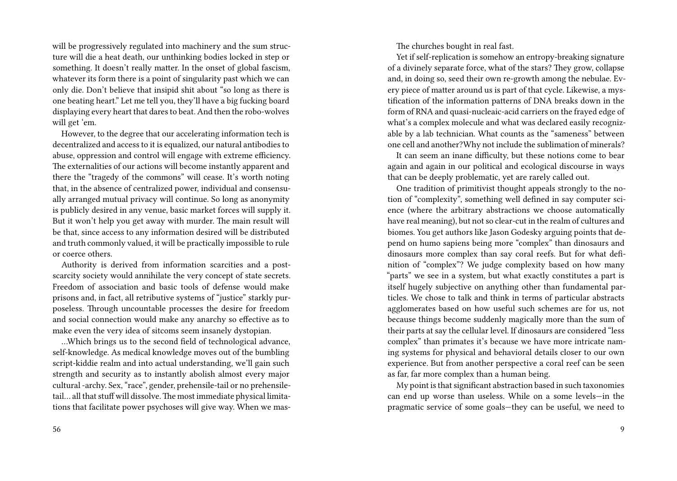will be progressively regulated into machinery and the sum structure will die a heat death, our unthinking bodies locked in step or something. It doesn't really matter. In the onset of global fascism, whatever its form there is a point of singularity past which we can only die. Don't believe that insipid shit about "so long as there is one beating heart." Let me tell you, they'll have a big fucking board displaying every heart that dares to beat. And then the robo-wolves will get 'em.

However, to the degree that our accelerating information tech is decentralized and access to it is equalized, our natural antibodies to abuse, oppression and control will engage with extreme efficiency. The externalities of our actions will become instantly apparent and there the "tragedy of the commons" will cease. It's worth noting that, in the absence of centralized power, individual and consensually arranged mutual privacy will continue. So long as anonymity is publicly desired in any venue, basic market forces will supply it. But it won't help you get away with murder. The main result will be that, since access to any information desired will be distributed and truth commonly valued, it will be practically impossible to rule or coerce others.

Authority is derived from information scarcities and a postscarcity society would annihilate the very concept of state secrets. Freedom of association and basic tools of defense would make prisons and, in fact, all retributive systems of "justice" starkly purposeless. Through uncountable processes the desire for freedom and social connection would make any anarchy so effective as to make even the very idea of sitcoms seem insanely dystopian.

…Which brings us to the second field of technological advance, self-knowledge. As medical knowledge moves out of the bumbling script-kiddie realm and into actual understanding, we'll gain such strength and security as to instantly abolish almost every major cultural -archy. Sex, "race", gender, prehensile-tail or no prehensiletail... all that stuff will dissolve. The most immediate physical limitations that facilitate power psychoses will give way. When we mas-

56

The churches bought in real fast.

Yet if self-replication is somehow an entropy-breaking signature of a divinely separate force, what of the stars? They grow, collapse and, in doing so, seed their own re-growth among the nebulae. Every piece of matter around us is part of that cycle. Likewise, a mystification of the information patterns of DNA breaks down in the form of RNA and quasi-nucleaic-acid carriers on the frayed edge of what's a complex molecule and what was declared easily recognizable by a lab technician. What counts as the "sameness" between one cell and another?Why not include the sublimation of minerals?

It can seem an inane difficulty, but these notions come to bear again and again in our political and ecological discourse in ways that can be deeply problematic, yet are rarely called out.

One tradition of primitivist thought appeals strongly to the notion of "complexity", something well defined in say computer science (where the arbitrary abstractions we choose automatically have real meaning), but not so clear-cut in the realm of cultures and biomes. You get authors like Jason Godesky arguing points that depend on humo sapiens being more "complex" than dinosaurs and dinosaurs more complex than say coral reefs. But for what definition of "complex"? We judge complexity based on how many "parts" we see in a system, but what exactly constitutes a part is itself hugely subjective on anything other than fundamental particles. We chose to talk and think in terms of particular abstracts agglomerates based on how useful such schemes are for us, not because things become suddenly magically more than the sum of their parts at say the cellular level. If dinosaurs are considered "less complex" than primates it's because we have more intricate naming systems for physical and behavioral details closer to our own experience. But from another perspective a coral reef can be seen as far, far more complex than a human being.

My point is that significant abstraction based in such taxonomies can end up worse than useless. While on a some levels—in the pragmatic service of some goals—they can be useful, we need to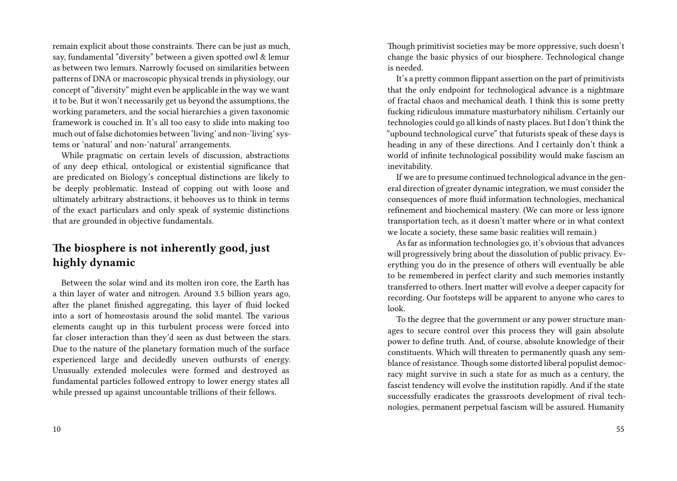remain explicit about those constraints. There can be just as much, say, fundamental "diversity" between a given spotted owl & lemur as between two lemurs. Narrowly focused on similarities between patterns of DNA or macroscopic physical trends in physiology, our concept of "diversity" might even be applicable in the way we want it to be. But it won't necessarily get us beyond the assumptions, the working parameters, and the social hierarchies a given taxonomic framework is couched in. It's all too easy to slide into making too much out of false dichotomies between 'living' and non-'living' systems or 'natural' and non-'natural' arrangements.

While pragmatic on certain levels of discussion, abstractions of any deep ethical, ontological or existential significance that are predicated on Biology's conceptual distinctions are likely to be deeply problematic. Instead of copping out with loose and ultimately arbitrary abstractions, it behooves us to think in terms of the exact particulars and only speak of systemic distinctions that are grounded in objective fundamentals.

### **The biosphere is not inherently good, just highly dynamic**

Between the solar wind and its molten iron core, the Earth has a thin layer of water and nitrogen. Around 3.5 billion years ago, after the planet finished aggregating, this layer of fluid locked into a sort of homeostasis around the solid mantel. The various elements caught up in this turbulent process were forced into far closer interaction than they'd seen as dust between the stars. Due to the nature of the planetary formation much of the surface experienced large and decidedly uneven outbursts of energy. Unusually extended molecules were formed and destroyed as fundamental particles followed entropy to lower energy states all while pressed up against uncountable trillions of their fellows.

10

Though primitivist societies may be more oppressive, such doesn't change the basic physics of our biosphere. Technological change is needed.

It's a pretty common flippant assertion on the part of primitivists that the only endpoint for technological advance is a nightmare of fractal chaos and mechanical death. I think this is some pretty fucking ridiculous immature masturbatory nihilism. Certainly our technologies could go all kinds of nasty places. But I don't think the "upbound technological curve" that futurists speak of these days is heading in any of these directions. And I certainly don't think a world of infinite technological possibility would make fascism an inevitability.

If we are to presume continued technological advance in the general direction of greater dynamic integration, we must consider the consequences of more fluid information technologies, mechanical refinement and biochemical mastery. (We can more or less ignore transportation tech, as it doesn't matter where or in what context we locate a society, these same basic realities will remain.)

As far as information technologies go, it's obvious that advances will progressively bring about the dissolution of public privacy. Everything you do in the presence of others will eventually be able to be remembered in perfect clarity and such memories instantly transferred to others. Inert matter will evolve a deeper capacity for recording. Our footsteps will be apparent to anyone who cares to look.

To the degree that the government or any power structure manages to secure control over this process they will gain absolute power to define truth. And, of course, absolute knowledge of their constituents. Which will threaten to permanently quash any semblance of resistance. Though some distorted liberal populist democracy might survive in such a state for as much as a century, the fascist tendency will evolve the institution rapidly. And if the state successfully eradicates the grassroots development of rival technologies, permanent perpetual fascism will be assured. Humanity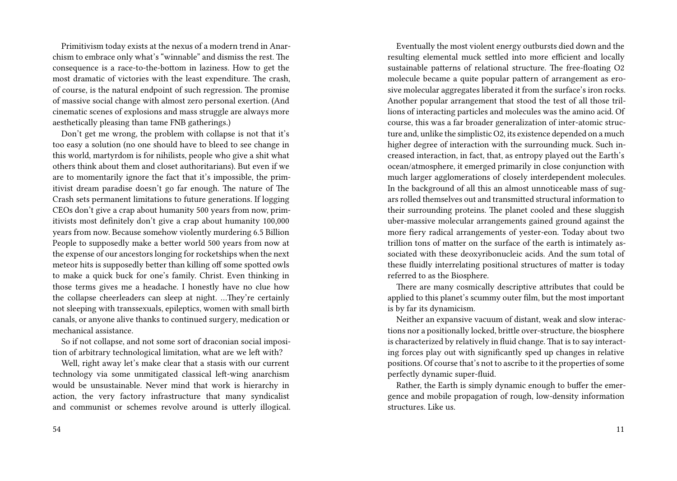Primitivism today exists at the nexus of a modern trend in Anarchism to embrace only what's "winnable" and dismiss the rest. The consequence is a race-to-the-bottom in laziness. How to get the most dramatic of victories with the least expenditure. The crash, of course, is the natural endpoint of such regression. The promise of massive social change with almost zero personal exertion. (And cinematic scenes of explosions and mass struggle are always more aesthetically pleasing than tame FNB gatherings.)

Don't get me wrong, the problem with collapse is not that it's too easy a solution (no one should have to bleed to see change in this world, martyrdom is for nihilists, people who give a shit what others think about them and closet authoritarians). But even if we are to momentarily ignore the fact that it's impossible, the primitivist dream paradise doesn't go far enough. The nature of The Crash sets permanent limitations to future generations. If logging CEOs don't give a crap about humanity 500 years from now, primitivists most definitely don't give a crap about humanity 100,000 years from now. Because somehow violently murdering 6.5 Billion People to supposedly make a better world 500 years from now at the expense of our ancestors longing for rocketships when the next meteor hits is supposedly better than killing off some spotted owls to make a quick buck for one's family. Christ. Even thinking in those terms gives me a headache. I honestly have no clue how the collapse cheerleaders can sleep at night. …They're certainly not sleeping with transsexuals, epileptics, women with small birth canals, or anyone alive thanks to continued surgery, medication or mechanical assistance.

So if not collapse, and not some sort of draconian social imposition of arbitrary technological limitation, what are we left with?

Well, right away let's make clear that a stasis with our current technology via some unmitigated classical left-wing anarchism would be unsustainable. Never mind that work is hierarchy in action, the very factory infrastructure that many syndicalist and communist or schemes revolve around is utterly illogical.

Eventually the most violent energy outbursts died down and the resulting elemental muck settled into more efficient and locally sustainable patterns of relational structure. The free-floating O2 molecule became a quite popular pattern of arrangement as erosive molecular aggregates liberated it from the surface's iron rocks. Another popular arrangement that stood the test of all those trillions of interacting particles and molecules was the amino acid. Of course, this was a far broader generalization of inter-atomic structure and, unlike the simplistic O2, its existence depended on a much higher degree of interaction with the surrounding muck. Such increased interaction, in fact, that, as entropy played out the Earth's ocean/atmosphere, it emerged primarily in close conjunction with much larger agglomerations of closely interdependent molecules. In the background of all this an almost unnoticeable mass of sugars rolled themselves out and transmitted structural information to their surrounding proteins. The planet cooled and these sluggish uber-massive molecular arrangements gained ground against the more fiery radical arrangements of yester-eon. Today about two trillion tons of matter on the surface of the earth is intimately associated with these deoxyribonucleic acids. And the sum total of these fluidly interrelating positional structures of matter is today referred to as the Biosphere.

There are many cosmically descriptive attributes that could be applied to this planet's scummy outer film, but the most important is by far its dynamicism.

Neither an expansive vacuum of distant, weak and slow interactions nor a positionally locked, brittle over-structure, the biosphere is characterized by relatively in fluid change. That is to say interacting forces play out with significantly sped up changes in relative positions. Of course that's not to ascribe to it the properties of some perfectly dynamic super-fluid.

Rather, the Earth is simply dynamic enough to buffer the emergence and mobile propagation of rough, low-density information structures. Like us.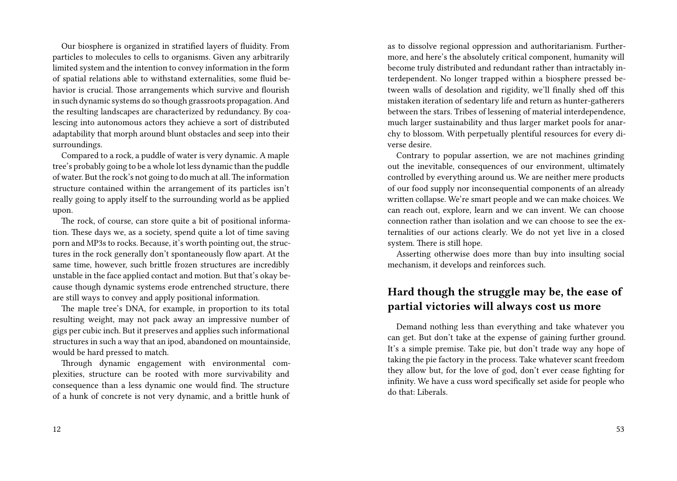Our biosphere is organized in stratified layers of fluidity. From particles to molecules to cells to organisms. Given any arbitrarily limited system and the intention to convey information in the form of spatial relations able to withstand externalities, some fluid behavior is crucial. Those arrangements which survive and flourish in such dynamic systems do so though grassroots propagation. And the resulting landscapes are characterized by redundancy. By coalescing into autonomous actors they achieve a sort of distributed adaptability that morph around blunt obstacles and seep into their surroundings.

Compared to a rock, a puddle of water is very dynamic. A maple tree's probably going to be a whole lot less dynamic than the puddle of water. But the rock's not going to do much at all.The information structure contained within the arrangement of its particles isn't really going to apply itself to the surrounding world as be applied upon.

The rock, of course, can store quite a bit of positional information. These days we, as a society, spend quite a lot of time saving porn and MP3s to rocks. Because, it's worth pointing out, the structures in the rock generally don't spontaneously flow apart. At the same time, however, such brittle frozen structures are incredibly unstable in the face applied contact and motion. But that's okay because though dynamic systems erode entrenched structure, there are still ways to convey and apply positional information.

The maple tree's DNA, for example, in proportion to its total resulting weight, may not pack away an impressive number of gigs per cubic inch. But it preserves and applies such informational structures in such a way that an ipod, abandoned on mountainside, would be hard pressed to match.

Through dynamic engagement with environmental complexities, structure can be rooted with more survivability and consequence than a less dynamic one would find. The structure of a hunk of concrete is not very dynamic, and a brittle hunk of as to dissolve regional oppression and authoritarianism. Furthermore, and here's the absolutely critical component, humanity will become truly distributed and redundant rather than intractably interdependent. No longer trapped within a biosphere pressed between walls of desolation and rigidity, we'll finally shed off this mistaken iteration of sedentary life and return as hunter-gatherers between the stars. Tribes of lessening of material interdependence, much larger sustainability and thus larger market pools for anarchy to blossom. With perpetually plentiful resources for every diverse desire.

Contrary to popular assertion, we are not machines grinding out the inevitable, consequences of our environment, ultimately controlled by everything around us. We are neither mere products of our food supply nor inconsequential components of an already written collapse. We're smart people and we can make choices. We can reach out, explore, learn and we can invent. We can choose connection rather than isolation and we can choose to see the externalities of our actions clearly. We do not yet live in a closed system. There is still hope.

Asserting otherwise does more than buy into insulting social mechanism, it develops and reinforces such.

### **Hard though the struggle may be, the ease of partial victories will always cost us more**

Demand nothing less than everything and take whatever you can get. But don't take at the expense of gaining further ground. It's a simple premise. Take pie, but don't trade way any hope of taking the pie factory in the process. Take whatever scant freedom they allow but, for the love of god, don't ever cease fighting for infinity. We have a cuss word specifically set aside for people who do that: Liberals.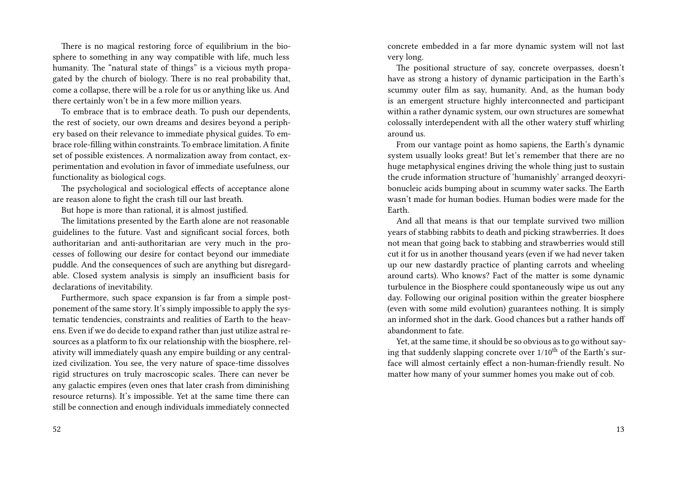There is no magical restoring force of equilibrium in the biosphere to something in any way compatible with life, much less humanity. The "natural state of things" is a vicious myth propagated by the church of biology. There is no real probability that, come a collapse, there will be a role for us or anything like us. And there certainly won't be in a few more million years.

To embrace that is to embrace death. To push our dependents, the rest of society, our own dreams and desires beyond a periphery based on their relevance to immediate physical guides. To embrace role-filling within constraints. To embrace limitation. A finite set of possible existences. A normalization away from contact, experimentation and evolution in favor of immediate usefulness, our functionality as biological cogs.

The psychological and sociological effects of acceptance alone are reason alone to fight the crash till our last breath.

But hope is more than rational, it is almost justified.

The limitations presented by the Earth alone are not reasonable guidelines to the future. Vast and significant social forces, both authoritarian and anti-authoritarian are very much in the processes of following our desire for contact beyond our immediate puddle. And the consequences of such are anything but disregardable. Closed system analysis is simply an insufficient basis for declarations of inevitability.

Furthermore, such space expansion is far from a simple postponement of the same story. It's simply impossible to apply the systematic tendencies, constraints and realities of Earth to the heavens. Even if we do decide to expand rather than just utilize astral resources as a platform to fix our relationship with the biosphere, relativity will immediately quash any empire building or any centralized civilization. You see, the very nature of space-time dissolves rigid structures on truly macroscopic scales. There can never be any galactic empires (even ones that later crash from diminishing resource returns). It's impossible. Yet at the same time there can still be connection and enough individuals immediately connected

52

concrete embedded in a far more dynamic system will not last very long.

The positional structure of say, concrete overpasses, doesn't have as strong a history of dynamic participation in the Earth's scummy outer film as say, humanity. And, as the human body is an emergent structure highly interconnected and participant within a rather dynamic system, our own structures are somewhat colossally interdependent with all the other watery stuff whirling around us.

From our vantage point as homo sapiens, the Earth's dynamic system usually looks great! But let's remember that there are no huge metaphysical engines driving the whole thing just to sustain the crude information structure of 'humanishly' arranged deoxyribonucleic acids bumping about in scummy water sacks. The Earth wasn't made for human bodies. Human bodies were made for the Earth.

And all that means is that our template survived two million years of stabbing rabbits to death and picking strawberries. It does not mean that going back to stabbing and strawberries would still cut it for us in another thousand years (even if we had never taken up our new dastardly practice of planting carrots and wheeling around carts). Who knows? Fact of the matter is some dynamic turbulence in the Biosphere could spontaneously wipe us out any day. Following our original position within the greater biosphere (even with some mild evolution) guarantees nothing. It is simply an informed shot in the dark. Good chances but a rather hands off abandonment to fate.

Yet, at the same time, it should be so obvious as to go without saying that suddenly slapping concrete over  $1/10^{th}$  of the Earth's surface will almost certainly effect a non-human-friendly result. No matter how many of your summer homes you make out of cob.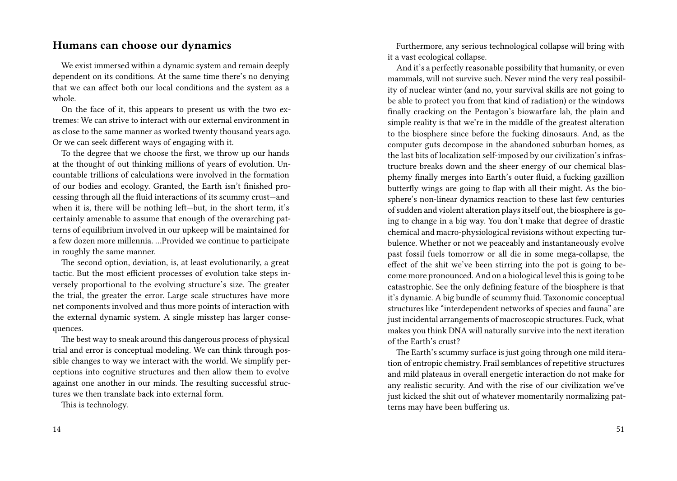#### **Humans can choose our dynamics**

We exist immersed within a dynamic system and remain deeply dependent on its conditions. At the same time there's no denying that we can affect both our local conditions and the system as a whole.

On the face of it, this appears to present us with the two extremes: We can strive to interact with our external environment in as close to the same manner as worked twenty thousand years ago. Or we can seek different ways of engaging with it.

To the degree that we choose the first, we throw up our hands at the thought of out thinking millions of years of evolution. Uncountable trillions of calculations were involved in the formation of our bodies and ecology. Granted, the Earth isn't finished processing through all the fluid interactions of its scummy crust—and when it is, there will be nothing left—but, in the short term, it's certainly amenable to assume that enough of the overarching patterns of equilibrium involved in our upkeep will be maintained for a few dozen more millennia. …Provided we continue to participate in roughly the same manner.

The second option, deviation, is, at least evolutionarily, a great tactic. But the most efficient processes of evolution take steps inversely proportional to the evolving structure's size. The greater the trial, the greater the error. Large scale structures have more net components involved and thus more points of interaction with the external dynamic system. A single misstep has larger consequences.

The best way to sneak around this dangerous process of physical trial and error is conceptual modeling. We can think through possible changes to way we interact with the world. We simplify perceptions into cognitive structures and then allow them to evolve against one another in our minds. The resulting successful structures we then translate back into external form.

This is technology.

Furthermore, any serious technological collapse will bring with it a vast ecological collapse.

And it's a perfectly reasonable possibility that humanity, or even mammals, will not survive such. Never mind the very real possibility of nuclear winter (and no, your survival skills are not going to be able to protect you from that kind of radiation) or the windows finally cracking on the Pentagon's biowarfare lab, the plain and simple reality is that we're in the middle of the greatest alteration to the biosphere since before the fucking dinosaurs. And, as the computer guts decompose in the abandoned suburban homes, as the last bits of localization self-imposed by our civilization's infrastructure breaks down and the sheer energy of our chemical blasphemy finally merges into Earth's outer fluid, a fucking gazillion butterfly wings are going to flap with all their might. As the biosphere's non-linear dynamics reaction to these last few centuries of sudden and violent alteration plays itself out, the biosphere is going to change in a big way. You don't make that degree of drastic chemical and macro-physiological revisions without expecting turbulence. Whether or not we peaceably and instantaneously evolve past fossil fuels tomorrow or all die in some mega-collapse, the effect of the shit we've been stirring into the pot is going to become more pronounced. And on a biological level this is going to be catastrophic. See the only defining feature of the biosphere is that it's dynamic. A big bundle of scummy fluid. Taxonomic conceptual structures like "interdependent networks of species and fauna" are just incidental arrangements of macroscopic structures. Fuck, what makes you think DNA will naturally survive into the next iteration of the Earth's crust?

The Earth's scummy surface is just going through one mild iteration of entropic chemistry. Frail semblances of repetitive structures and mild plateaus in overall energetic interaction do not make for any realistic security. And with the rise of our civilization we've just kicked the shit out of whatever momentarily normalizing patterns may have been buffering us.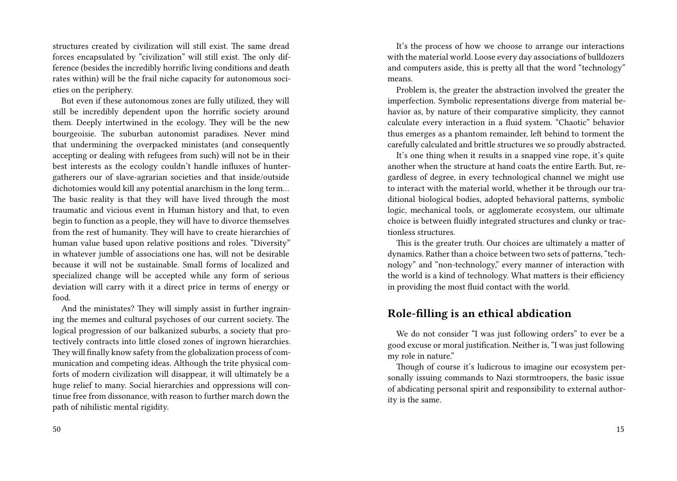structures created by civilization will still exist. The same dread forces encapsulated by "civilization" will still exist. The only difference (besides the incredibly horrific living conditions and death rates within) will be the frail niche capacity for autonomous societies on the periphery.

But even if these autonomous zones are fully utilized, they will still be incredibly dependent upon the horrific society around them. Deeply intertwined in the ecology. They will be the new bourgeoisie. The suburban autonomist paradises. Never mind that undermining the overpacked ministates (and consequently accepting or dealing with refugees from such) will not be in their best interests as the ecology couldn't handle influxes of huntergatherers our of slave-agrarian societies and that inside/outside dichotomies would kill any potential anarchism in the long term… The basic reality is that they will have lived through the most traumatic and vicious event in Human history and that, to even begin to function as a people, they will have to divorce themselves from the rest of humanity. They will have to create hierarchies of human value based upon relative positions and roles. "Diversity" in whatever jumble of associations one has, will not be desirable because it will not be sustainable. Small forms of localized and specialized change will be accepted while any form of serious deviation will carry with it a direct price in terms of energy or food.

And the ministates? They will simply assist in further ingraining the memes and cultural psychoses of our current society. The logical progression of our balkanized suburbs, a society that protectively contracts into little closed zones of ingrown hierarchies. They will finally know safety from the globalization process of communication and competing ideas. Although the trite physical comforts of modern civilization will disappear, it will ultimately be a huge relief to many. Social hierarchies and oppressions will continue free from dissonance, with reason to further march down the path of nihilistic mental rigidity.

50

It's the process of how we choose to arrange our interactions with the material world. Loose every day associations of bulldozers and computers aside, this is pretty all that the word "technology" means.

Problem is, the greater the abstraction involved the greater the imperfection. Symbolic representations diverge from material behavior as, by nature of their comparative simplicity, they cannot calculate every interaction in a fluid system. "Chaotic" behavior thus emerges as a phantom remainder, left behind to torment the carefully calculated and brittle structures we so proudly abstracted.

It's one thing when it results in a snapped vine rope, it's quite another when the structure at hand coats the entire Earth. But, regardless of degree, in every technological channel we might use to interact with the material world, whether it be through our traditional biological bodies, adopted behavioral patterns, symbolic logic, mechanical tools, or agglomerate ecosystem, our ultimate choice is between fluidly integrated structures and clunky or tractionless structures.

This is the greater truth. Our choices are ultimately a matter of dynamics. Rather than a choice between two sets of patterns, "technology" and "non-technology," every manner of interaction with the world is a kind of technology. What matters is their efficiency in providing the most fluid contact with the world.

#### **Role-filling is an ethical abdication**

We do not consider "I was just following orders" to ever be a good excuse or moral justification. Neither is, "I was just following my role in nature."

Though of course it's ludicrous to imagine our ecosystem personally issuing commands to Nazi stormtroopers, the basic issue of abdicating personal spirit and responsibility to external authority is the same.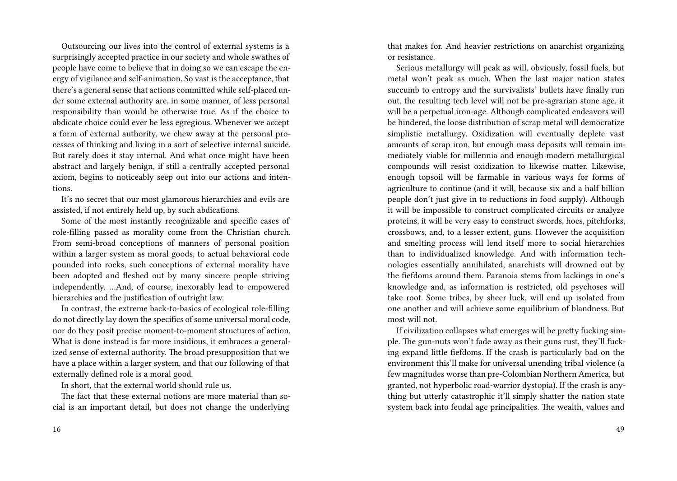Outsourcing our lives into the control of external systems is a surprisingly accepted practice in our society and whole swathes of people have come to believe that in doing so we can escape the energy of vigilance and self-animation. So vast is the acceptance, that there's a general sense that actions committed while self-placed under some external authority are, in some manner, of less personal responsibility than would be otherwise true. As if the choice to abdicate choice could ever be less egregious. Whenever we accept a form of external authority, we chew away at the personal processes of thinking and living in a sort of selective internal suicide. But rarely does it stay internal. And what once might have been abstract and largely benign, if still a centrally accepted personal axiom, begins to noticeably seep out into our actions and intentions.

It's no secret that our most glamorous hierarchies and evils are assisted, if not entirely held up, by such abdications.

Some of the most instantly recognizable and specific cases of role-filling passed as morality come from the Christian church. From semi-broad conceptions of manners of personal position within a larger system as moral goods, to actual behavioral code pounded into rocks, such conceptions of external morality have been adopted and fleshed out by many sincere people striving independently. …And, of course, inexorably lead to empowered hierarchies and the justification of outright law.

In contrast, the extreme back-to-basics of ecological role-filling do not directly lay down the specifics of some universal moral code, nor do they posit precise moment-to-moment structures of action. What is done instead is far more insidious, it embraces a generalized sense of external authority. The broad presupposition that we have a place within a larger system, and that our following of that externally defined role is a moral good.

In short, that the external world should rule us.

The fact that these external notions are more material than social is an important detail, but does not change the underlying that makes for. And heavier restrictions on anarchist organizing or resistance.

Serious metallurgy will peak as will, obviously, fossil fuels, but metal won't peak as much. When the last major nation states succumb to entropy and the survivalists' bullets have finally run out, the resulting tech level will not be pre-agrarian stone age, it will be a perpetual iron-age. Although complicated endeavors will be hindered, the loose distribution of scrap metal will democratize simplistic metallurgy. Oxidization will eventually deplete vast amounts of scrap iron, but enough mass deposits will remain immediately viable for millennia and enough modern metallurgical compounds will resist oxidization to likewise matter. Likewise, enough topsoil will be farmable in various ways for forms of agriculture to continue (and it will, because six and a half billion people don't just give in to reductions in food supply). Although it will be impossible to construct complicated circuits or analyze proteins, it will be very easy to construct swords, hoes, pitchforks, crossbows, and, to a lesser extent, guns. However the acquisition and smelting process will lend itself more to social hierarchies than to individualized knowledge. And with information technologies essentially annihilated, anarchists will drowned out by the fiefdoms around them. Paranoia stems from lackings in one's knowledge and, as information is restricted, old psychoses will take root. Some tribes, by sheer luck, will end up isolated from one another and will achieve some equilibrium of blandness. But most will not.

If civilization collapses what emerges will be pretty fucking simple. The gun-nuts won't fade away as their guns rust, they'll fucking expand little fiefdoms. If the crash is particularly bad on the environment this'll make for universal unending tribal violence (a few magnitudes worse than pre-Colombian Northern America, but granted, not hyperbolic road-warrior dystopia). If the crash is anything but utterly catastrophic it'll simply shatter the nation state system back into feudal age principalities. The wealth, values and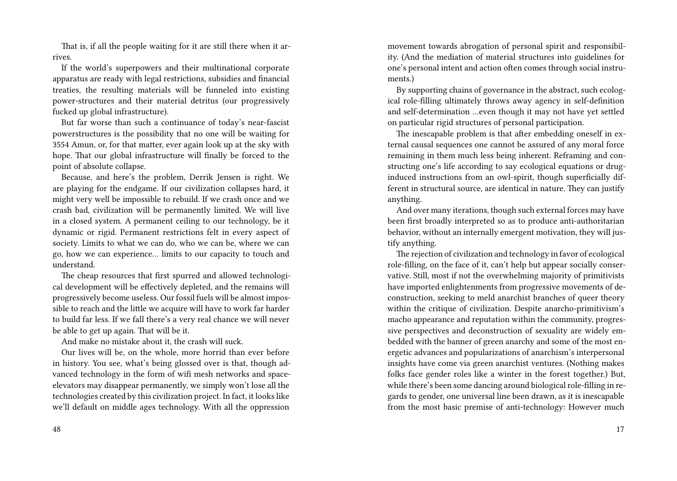That is, if all the people waiting for it are still there when it arrives.

If the world's superpowers and their multinational corporate apparatus are ready with legal restrictions, subsidies and financial treaties, the resulting materials will be funneled into existing power-structures and their material detritus (our progressively fucked up global infrastructure).

But far worse than such a continuance of today's near-fascist powerstructures is the possibility that no one will be waiting for 3554 Amun, or, for that matter, ever again look up at the sky with hope. That our global infrastructure will finally be forced to the point of absolute collapse.

Because, and here's the problem, Derrik Jensen is right. We are playing for the endgame. If our civilization collapses hard, it might very well be impossible to rebuild. If we crash once and we crash bad, civilization will be permanently limited. We will live in a closed system. A permanent ceiling to our technology, be it dynamic or rigid. Permanent restrictions felt in every aspect of society. Limits to what we can do, who we can be, where we can go, how we can experience… limits to our capacity to touch and understand.

The cheap resources that first spurred and allowed technological development will be effectively depleted, and the remains will progressively become useless. Our fossil fuels will be almost impossible to reach and the little we acquire will have to work far harder to build far less. If we fall there's a very real chance we will never be able to get up again. That will be it.

And make no mistake about it, the crash will suck.

Our lives will be, on the whole, more horrid than ever before in history. You see, what's being glossed over is that, though advanced technology in the form of wifi mesh networks and spaceelevators may disappear permanently, we simply won't lose all the technologies created by this civilization project. In fact, it looks like we'll default on middle ages technology. With all the oppression movement towards abrogation of personal spirit and responsibility. (And the mediation of material structures into guidelines for one's personal intent and action often comes through social instruments.)

By supporting chains of governance in the abstract, such ecological role-filling ultimately throws away agency in self-definition and self-determination …even though it may not have yet settled on particular rigid structures of personal participation.

The inescapable problem is that after embedding oneself in external causal sequences one cannot be assured of any moral force remaining in them much less being inherent. Reframing and constructing one's life according to say ecological equations or druginduced instructions from an owl-spirit, though superficially different in structural source, are identical in nature. They can justify anything.

And over many iterations, though such external forces may have been first broadly interpreted so as to produce anti-authoritarian behavior, without an internally emergent motivation, they will justify anything.

The rejection of civilization and technology in favor of ecological role-filling, on the face of it, can't help but appear socially conservative. Still, most if not the overwhelming majority of primitivists have imported enlightenments from progressive movements of deconstruction, seeking to meld anarchist branches of queer theory within the critique of civilization. Despite anarcho-primitivism's macho appearance and reputation within the community, progressive perspectives and deconstruction of sexuality are widely embedded with the banner of green anarchy and some of the most energetic advances and popularizations of anarchism's interpersonal insights have come via green anarchist ventures. (Nothing makes folks face gender roles like a winter in the forest together.) But, while there's been some dancing around biological role-filling in regards to gender, one universal line been drawn, as it is inescapable from the most basic premise of anti-technology: However much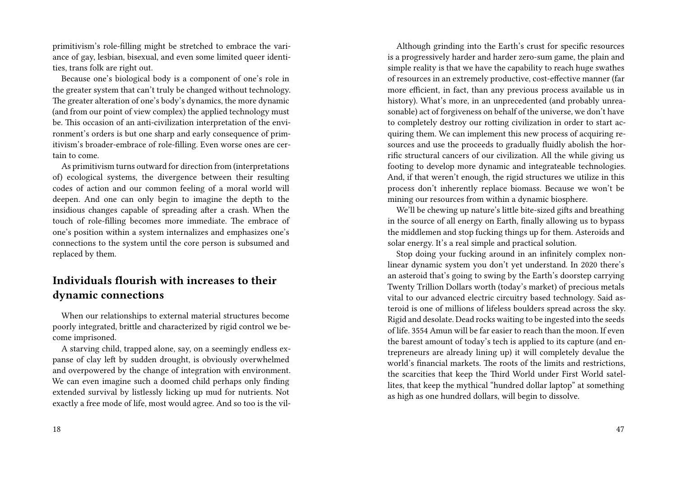primitivism's role-filling might be stretched to embrace the variance of gay, lesbian, bisexual, and even some limited queer identities, trans folk are right out.

Because one's biological body is a component of one's role in the greater system that can't truly be changed without technology. The greater alteration of one's body's dynamics, the more dynamic (and from our point of view complex) the applied technology must be. This occasion of an anti-civilization interpretation of the environment's orders is but one sharp and early consequence of primitivism's broader-embrace of role-filling. Even worse ones are certain to come.

As primitivism turns outward for direction from (interpretations of) ecological systems, the divergence between their resulting codes of action and our common feeling of a moral world will deepen. And one can only begin to imagine the depth to the insidious changes capable of spreading after a crash. When the touch of role-filling becomes more immediate. The embrace of one's position within a system internalizes and emphasizes one's connections to the system until the core person is subsumed and replaced by them.

### **Individuals flourish with increases to their dynamic connections**

When our relationships to external material structures become poorly integrated, brittle and characterized by rigid control we become imprisoned.

A starving child, trapped alone, say, on a seemingly endless expanse of clay left by sudden drought, is obviously overwhelmed and overpowered by the change of integration with environment. We can even imagine such a doomed child perhaps only finding extended survival by listlessly licking up mud for nutrients. Not exactly a free mode of life, most would agree. And so too is the vil-

Although grinding into the Earth's crust for specific resources is a progressively harder and harder zero-sum game, the plain and simple reality is that we have the capability to reach huge swathes of resources in an extremely productive, cost-effective manner (far more efficient, in fact, than any previous process available us in history). What's more, in an unprecedented (and probably unreasonable) act of forgiveness on behalf of the universe, we don't have to completely destroy our rotting civilization in order to start acquiring them. We can implement this new process of acquiring resources and use the proceeds to gradually fluidly abolish the horrific structural cancers of our civilization. All the while giving us footing to develop more dynamic and integrateable technologies. And, if that weren't enough, the rigid structures we utilize in this process don't inherently replace biomass. Because we won't be mining our resources from within a dynamic biosphere.

We'll be chewing up nature's little bite-sized gifts and breathing in the source of all energy on Earth, finally allowing us to bypass the middlemen and stop fucking things up for them. Asteroids and solar energy. It's a real simple and practical solution.

Stop doing your fucking around in an infinitely complex nonlinear dynamic system you don't yet understand. In 2020 there's an asteroid that's going to swing by the Earth's doorstep carrying Twenty Trillion Dollars worth (today's market) of precious metals vital to our advanced electric circuitry based technology. Said asteroid is one of millions of lifeless boulders spread across the sky. Rigid and desolate. Dead rocks waiting to be ingested into the seeds of life. 3554 Amun will be far easier to reach than the moon. If even the barest amount of today's tech is applied to its capture (and entrepreneurs are already lining up) it will completely devalue the world's financial markets. The roots of the limits and restrictions, the scarcities that keep the Third World under First World satellites, that keep the mythical "hundred dollar laptop" at something as high as one hundred dollars, will begin to dissolve.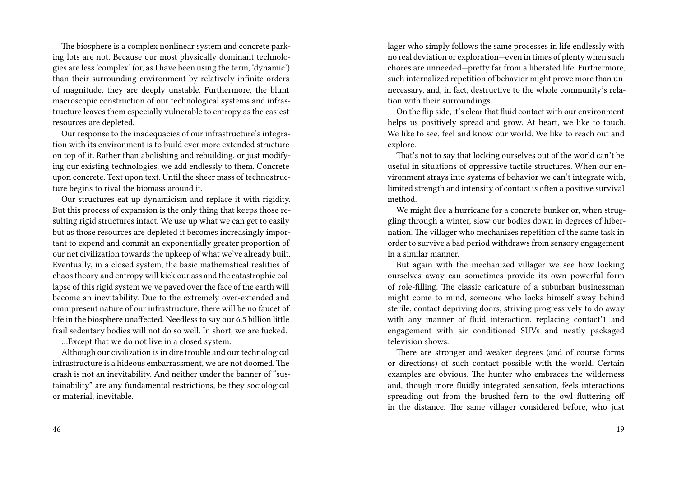The biosphere is a complex nonlinear system and concrete parking lots are not. Because our most physically dominant technologies are less 'complex' (or, as I have been using the term, 'dynamic') than their surrounding environment by relatively infinite orders of magnitude, they are deeply unstable. Furthermore, the blunt macroscopic construction of our technological systems and infrastructure leaves them especially vulnerable to entropy as the easiest resources are depleted.

Our response to the inadequacies of our infrastructure's integration with its environment is to build ever more extended structure on top of it. Rather than abolishing and rebuilding, or just modifying our existing technologies, we add endlessly to them. Concrete upon concrete. Text upon text. Until the sheer mass of technostructure begins to rival the biomass around it.

Our structures eat up dynamicism and replace it with rigidity. But this process of expansion is the only thing that keeps those resulting rigid structures intact. We use up what we can get to easily but as those resources are depleted it becomes increasingly important to expend and commit an exponentially greater proportion of our net civilization towards the upkeep of what we've already built. Eventually, in a closed system, the basic mathematical realities of chaos theory and entropy will kick our ass and the catastrophic collapse of this rigid system we've paved over the face of the earth will become an inevitability. Due to the extremely over-extended and omnipresent nature of our infrastructure, there will be no faucet of life in the biosphere unaffected. Needless to say our 6.5 billion little frail sedentary bodies will not do so well. In short, we are fucked.

…Except that we do not live in a closed system.

Although our civilization is in dire trouble and our technological infrastructure is a hideous embarrassment, we are not doomed. The crash is not an inevitability. And neither under the banner of "sustainability" are any fundamental restrictions, be they sociological or material, inevitable.

lager who simply follows the same processes in life endlessly with no real deviation or exploration—even in times of plenty when such chores are unneeded—pretty far from a liberated life. Furthermore, such internalized repetition of behavior might prove more than unnecessary, and, in fact, destructive to the whole community's relation with their surroundings.

On the flip side, it's clear that fluid contact with our environment helps us positively spread and grow. At heart, we like to touch. We like to see, feel and know our world. We like to reach out and explore.

That's not to say that locking ourselves out of the world can't be useful in situations of oppressive tactile structures. When our environment strays into systems of behavior we can't integrate with, limited strength and intensity of contact is often a positive survival method.

We might flee a hurricane for a concrete bunker or, when struggling through a winter, slow our bodies down in degrees of hibernation. The villager who mechanizes repetition of the same task in order to survive a bad period withdraws from sensory engagement in a similar manner.

But again with the mechanized villager we see how locking ourselves away can sometimes provide its own powerful form of role-filling. The classic caricature of a suburban businessman might come to mind, someone who locks himself away behind sterile, contact depriving doors, striving progressively to do away with any manner of fluid interaction. replacing contact'1 and engagement with air conditioned SUVs and neatly packaged television shows.

There are stronger and weaker degrees (and of course forms or directions) of such contact possible with the world. Certain examples are obvious. The hunter who embraces the wilderness and, though more fluidly integrated sensation, feels interactions spreading out from the brushed fern to the owl fluttering off in the distance. The same villager considered before, who just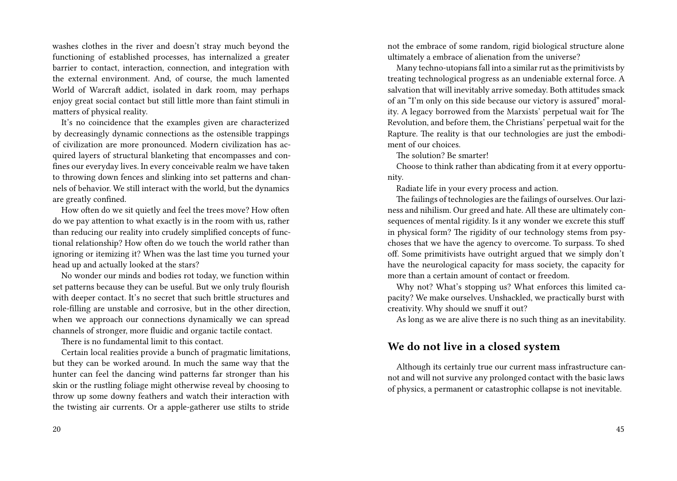washes clothes in the river and doesn't stray much beyond the functioning of established processes, has internalized a greater barrier to contact, interaction, connection, and integration with the external environment. And, of course, the much lamented World of Warcraft addict, isolated in dark room, may perhaps enjoy great social contact but still little more than faint stimuli in matters of physical reality.

It's no coincidence that the examples given are characterized by decreasingly dynamic connections as the ostensible trappings of civilization are more pronounced. Modern civilization has acquired layers of structural blanketing that encompasses and confines our everyday lives. In every conceivable realm we have taken to throwing down fences and slinking into set patterns and channels of behavior. We still interact with the world, but the dynamics are greatly confined.

How often do we sit quietly and feel the trees move? How often do we pay attention to what exactly is in the room with us, rather than reducing our reality into crudely simplified concepts of functional relationship? How often do we touch the world rather than ignoring or itemizing it? When was the last time you turned your head up and actually looked at the stars?

No wonder our minds and bodies rot today, we function within set patterns because they can be useful. But we only truly flourish with deeper contact. It's no secret that such brittle structures and role-filling are unstable and corrosive, but in the other direction, when we approach our connections dynamically we can spread channels of stronger, more fluidic and organic tactile contact.

There is no fundamental limit to this contact.

Certain local realities provide a bunch of pragmatic limitations, but they can be worked around. In much the same way that the hunter can feel the dancing wind patterns far stronger than his skin or the rustling foliage might otherwise reveal by choosing to throw up some downy feathers and watch their interaction with the twisting air currents. Or a apple-gatherer use stilts to stride not the embrace of some random, rigid biological structure alone ultimately a embrace of alienation from the universe?

Many techno-utopians fall into a similar rut as the primitivists by treating technological progress as an undeniable external force. A salvation that will inevitably arrive someday. Both attitudes smack of an "I'm only on this side because our victory is assured" morality. A legacy borrowed from the Marxists' perpetual wait for The Revolution, and before them, the Christians' perpetual wait for the Rapture. The reality is that our technologies are just the embodiment of our choices.

The solution? Be smarter!

Choose to think rather than abdicating from it at every opportunity.

Radiate life in your every process and action.

The failings of technologies are the failings of ourselves. Our laziness and nihilism. Our greed and hate. All these are ultimately consequences of mental rigidity. Is it any wonder we excrete this stuff in physical form? The rigidity of our technology stems from psychoses that we have the agency to overcome. To surpass. To shed off. Some primitivists have outright argued that we simply don't have the neurological capacity for mass society, the capacity for more than a certain amount of contact or freedom.

Why not? What's stopping us? What enforces this limited capacity? We make ourselves. Unshackled, we practically burst with creativity. Why should we snuff it out?

As long as we are alive there is no such thing as an inevitability.

#### **We do not live in a closed system**

Although its certainly true our current mass infrastructure cannot and will not survive any prolonged contact with the basic laws of physics, a permanent or catastrophic collapse is not inevitable.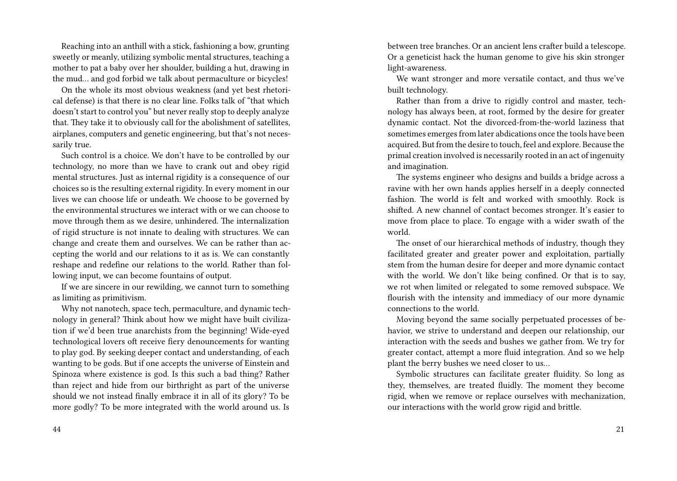Reaching into an anthill with a stick, fashioning a bow, grunting sweetly or meanly, utilizing symbolic mental structures, teaching a mother to pat a baby over her shoulder, building a hut, drawing in the mud… and god forbid we talk about permaculture or bicycles!

On the whole its most obvious weakness (and yet best rhetorical defense) is that there is no clear line. Folks talk of "that which doesn't start to control you" but never really stop to deeply analyze that. They take it to obviously call for the abolishment of satellites, airplanes, computers and genetic engineering, but that's not necessarily true.

Such control is a choice. We don't have to be controlled by our technology, no more than we have to crank out and obey rigid mental structures. Just as internal rigidity is a consequence of our choices so is the resulting external rigidity. In every moment in our lives we can choose life or undeath. We choose to be governed by the environmental structures we interact with or we can choose to move through them as we desire, unhindered. The internalization of rigid structure is not innate to dealing with structures. We can change and create them and ourselves. We can be rather than accepting the world and our relations to it as is. We can constantly reshape and redefine our relations to the world. Rather than following input, we can become fountains of output.

If we are sincere in our rewilding, we cannot turn to something as limiting as primitivism.

Why not nanotech, space tech, permaculture, and dynamic technology in general? Think about how we might have built civilization if we'd been true anarchists from the beginning! Wide-eyed technological lovers oft receive fiery denouncements for wanting to play god. By seeking deeper contact and understanding, of each wanting to be gods. But if one accepts the universe of Einstein and Spinoza where existence is god. Is this such a bad thing? Rather than reject and hide from our birthright as part of the universe should we not instead finally embrace it in all of its glory? To be more godly? To be more integrated with the world around us. Is between tree branches. Or an ancient lens crafter build a telescope. Or a geneticist hack the human genome to give his skin stronger light-awareness.

We want stronger and more versatile contact, and thus we've built technology.

Rather than from a drive to rigidly control and master, technology has always been, at root, formed by the desire for greater dynamic contact. Not the divorced-from-the-world laziness that sometimes emerges from later abdications once the tools have been acquired. But from the desire to touch, feel and explore. Because the primal creation involved is necessarily rooted in an act of ingenuity and imagination.

The systems engineer who designs and builds a bridge across a ravine with her own hands applies herself in a deeply connected fashion. The world is felt and worked with smoothly. Rock is shifted. A new channel of contact becomes stronger. It's easier to move from place to place. To engage with a wider swath of the world.

The onset of our hierarchical methods of industry, though they facilitated greater and greater power and exploitation, partially stem from the human desire for deeper and more dynamic contact with the world. We don't like being confined. Or that is to say, we rot when limited or relegated to some removed subspace. We flourish with the intensity and immediacy of our more dynamic connections to the world.

Moving beyond the same socially perpetuated processes of behavior, we strive to understand and deepen our relationship, our interaction with the seeds and bushes we gather from. We try for greater contact, attempt a more fluid integration. And so we help plant the berry bushes we need closer to us…

Symbolic structures can facilitate greater fluidity. So long as they, themselves, are treated fluidly. The moment they become rigid, when we remove or replace ourselves with mechanization, our interactions with the world grow rigid and brittle.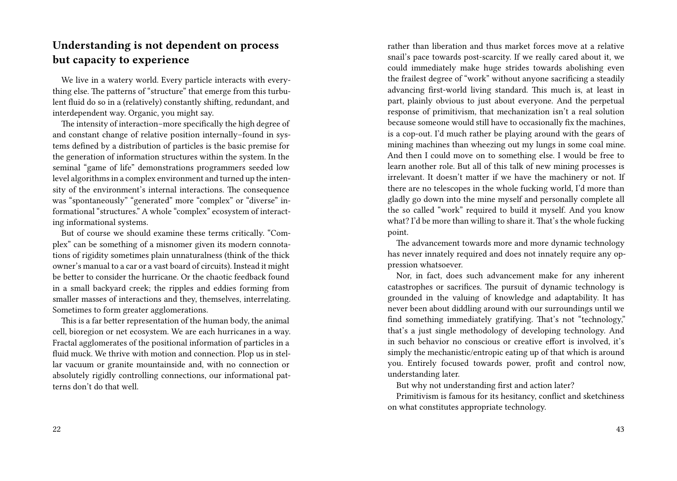## **Understanding is not dependent on process but capacity to experience**

We live in a watery world. Every particle interacts with everything else. The patterns of "structure" that emerge from this turbulent fluid do so in a (relatively) constantly shifting, redundant, and interdependent way. Organic, you might say.

The intensity of interaction–more specifically the high degree of and constant change of relative position internally–found in systems defined by a distribution of particles is the basic premise for the generation of information structures within the system. In the seminal "game of life" demonstrations programmers seeded low level algorithms in a complex environment and turned up the intensity of the environment's internal interactions. The consequence was "spontaneously" "generated" more "complex" or "diverse" informational "structures." A whole "complex" ecosystem of interacting informational systems.

But of course we should examine these terms critically. "Complex" can be something of a misnomer given its modern connotations of rigidity sometimes plain unnaturalness (think of the thick owner's manual to a car or a vast board of circuits). Instead it might be better to consider the hurricane. Or the chaotic feedback found in a small backyard creek; the ripples and eddies forming from smaller masses of interactions and they, themselves, interrelating. Sometimes to form greater agglomerations.

This is a far better representation of the human body, the animal cell, bioregion or net ecosystem. We are each hurricanes in a way. Fractal agglomerates of the positional information of particles in a fluid muck. We thrive with motion and connection. Plop us in stellar vacuum or granite mountainside and, with no connection or absolutely rigidly controlling connections, our informational patterns don't do that well.

rather than liberation and thus market forces move at a relative snail's pace towards post-scarcity. If we really cared about it, we could immediately make huge strides towards abolishing even the frailest degree of "work" without anyone sacrificing a steadily advancing first-world living standard. This much is, at least in part, plainly obvious to just about everyone. And the perpetual response of primitivism, that mechanization isn't a real solution because someone would still have to occasionally fix the machines, is a cop-out. I'd much rather be playing around with the gears of mining machines than wheezing out my lungs in some coal mine. And then I could move on to something else. I would be free to learn another role. But all of this talk of new mining processes is irrelevant. It doesn't matter if we have the machinery or not. If there are no telescopes in the whole fucking world, I'd more than gladly go down into the mine myself and personally complete all the so called "work" required to build it myself. And you know what? I'd be more than willing to share it. That's the whole fucking point.

The advancement towards more and more dynamic technology has never innately required and does not innately require any oppression whatsoever.

Nor, in fact, does such advancement make for any inherent catastrophes or sacrifices. The pursuit of dynamic technology is grounded in the valuing of knowledge and adaptability. It has never been about diddling around with our surroundings until we find something immediately gratifying. That's not "technology," that's a just single methodology of developing technology. And in such behavior no conscious or creative effort is involved, it's simply the mechanistic/entropic eating up of that which is around you. Entirely focused towards power, profit and control now, understanding later.

But why not understanding first and action later?

Primitivism is famous for its hesitancy, conflict and sketchiness on what constitutes appropriate technology.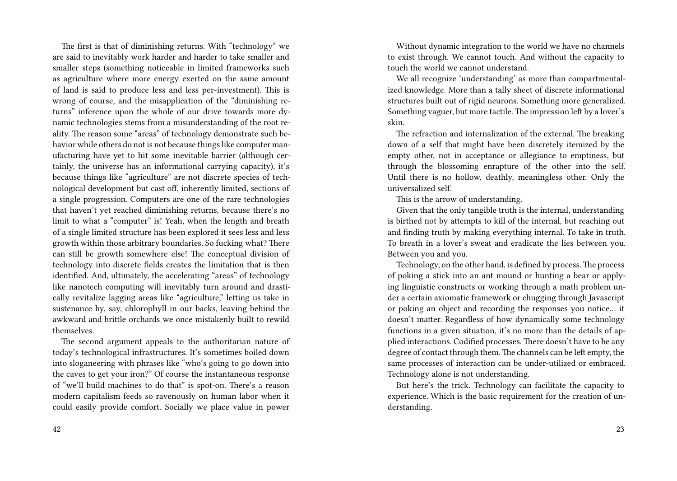The first is that of diminishing returns. With "technology" we are said to inevitably work harder and harder to take smaller and smaller steps (something noticeable in limited frameworks such as agriculture where more energy exerted on the same amount of land is said to produce less and less per-investment). This is wrong of course, and the misapplication of the "diminishing returns" inference upon the whole of our drive towards more dynamic technologies stems from a misunderstanding of the root reality. The reason some "areas" of technology demonstrate such behavior while others do not is not because things like computer manufacturing have yet to hit some inevitable barrier (although certainly, the universe has an informational carrying capacity), it's because things like "agriculture" are not discrete species of technological development but cast off, inherently limited, sections of a single progression. Computers are one of the rare technologies that haven't yet reached diminishing returns, because there's no limit to what a "computer" is! Yeah, when the length and breath of a single limited structure has been explored it sees less and less growth within those arbitrary boundaries. So fucking what? There can still be growth somewhere else! The conceptual division of technology into discrete fields creates the limitation that is then identified. And, ultimately, the accelerating "areas" of technology like nanotech computing will inevitably turn around and drastically revitalize lagging areas like "agriculture," letting us take in sustenance by, say, chlorophyll in our backs, leaving behind the awkward and brittle orchards we once mistakenly built to rewild themselves.

The second argument appeals to the authoritarian nature of today's technological infrastructures. It's sometimes boiled down into sloganeering with phrases like "who's going to go down into the caves to get your iron?" Of course the instantaneous response of "we'll build machines to do that" is spot-on. There's a reason modern capitalism feeds so ravenously on human labor when it could easily provide comfort. Socially we place value in power

Without dynamic integration to the world we have no channels to exist through. We cannot touch. And without the capacity to touch the world we cannot understand.

We all recognize 'understanding' as more than compartmentalized knowledge. More than a tally sheet of discrete informational structures built out of rigid neurons. Something more generalized. Something vaguer, but more tactile. The impression left by a lover's skin.

The refraction and internalization of the external. The breaking down of a self that might have been discretely itemized by the empty other, not in acceptance or allegiance to emptiness, but through the blossoming enrapture of the other into the self. Until there is no hollow, deathly, meaningless other. Only the universalized self.

This is the arrow of understanding.

Given that the only tangible truth is the internal, understanding is birthed not by attempts to kill of the internal, but reaching out and finding truth by making everything internal. To take in truth. To breath in a lover's sweat and eradicate the lies between you. Between you and you.

Technology, on the other hand, is defined by process. The process of poking a stick into an ant mound or hunting a bear or applying linguistic constructs or working through a math problem under a certain axiomatic framework or chugging through Javascript or poking an object and recording the responses you notice… it doesn't matter. Regardless of how dynamically some technology functions in a given situation, it's no more than the details of applied interactions. Codified processes. There doesn't have to be any degree of contact through them. The channels can be left empty, the same processes of interaction can be under-utilized or embraced. Technology alone is not understanding.

But here's the trick. Technology can facilitate the capacity to experience. Which is the basic requirement for the creation of understanding.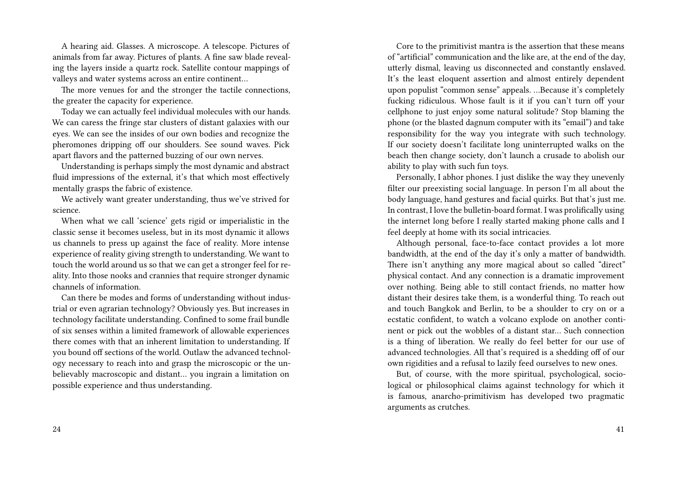A hearing aid. Glasses. A microscope. A telescope. Pictures of animals from far away. Pictures of plants. A fine saw blade revealing the layers inside a quartz rock. Satellite contour mappings of valleys and water systems across an entire continent…

The more venues for and the stronger the tactile connections, the greater the capacity for experience.

Today we can actually feel individual molecules with our hands. We can caress the fringe star clusters of distant galaxies with our eyes. We can see the insides of our own bodies and recognize the pheromones dripping off our shoulders. See sound waves. Pick apart flavors and the patterned buzzing of our own nerves.

Understanding is perhaps simply the most dynamic and abstract fluid impressions of the external, it's that which most effectively mentally grasps the fabric of existence.

We actively want greater understanding, thus we've strived for science.

When what we call 'science' gets rigid or imperialistic in the classic sense it becomes useless, but in its most dynamic it allows us channels to press up against the face of reality. More intense experience of reality giving strength to understanding. We want to touch the world around us so that we can get a stronger feel for reality. Into those nooks and crannies that require stronger dynamic channels of information.

Can there be modes and forms of understanding without industrial or even agrarian technology? Obviously yes. But increases in technology facilitate understanding. Confined to some frail bundle of six senses within a limited framework of allowable experiences there comes with that an inherent limitation to understanding. If you bound off sections of the world. Outlaw the advanced technology necessary to reach into and grasp the microscopic or the unbelievably macroscopic and distant… you ingrain a limitation on possible experience and thus understanding.

Core to the primitivist mantra is the assertion that these means of "artificial" communication and the like are, at the end of the day, utterly dismal, leaving us disconnected and constantly enslaved. It's the least eloquent assertion and almost entirely dependent upon populist "common sense" appeals. …Because it's completely fucking ridiculous. Whose fault is it if you can't turn off your cellphone to just enjoy some natural solitude? Stop blaming the phone (or the blasted dagnum computer with its "email") and take responsibility for the way you integrate with such technology. If our society doesn't facilitate long uninterrupted walks on the beach then change society, don't launch a crusade to abolish our ability to play with such fun toys.

Personally, I abhor phones. I just dislike the way they unevenly filter our preexisting social language. In person I'm all about the body language, hand gestures and facial quirks. But that's just me. In contrast, I love the bulletin-board format. I was prolifically using the internet long before I really started making phone calls and I feel deeply at home with its social intricacies.

Although personal, face-to-face contact provides a lot more bandwidth, at the end of the day it's only a matter of bandwidth. There isn't anything any more magical about so called "direct" physical contact. And any connection is a dramatic improvement over nothing. Being able to still contact friends, no matter how distant their desires take them, is a wonderful thing. To reach out and touch Bangkok and Berlin, to be a shoulder to cry on or a ecstatic confident, to watch a volcano explode on another continent or pick out the wobbles of a distant star… Such connection is a thing of liberation. We really do feel better for our use of advanced technologies. All that's required is a shedding off of our own rigidities and a refusal to lazily feed ourselves to new ones.

But, of course, with the more spiritual, psychological, sociological or philosophical claims against technology for which it is famous, anarcho-primitivism has developed two pragmatic arguments as crutches.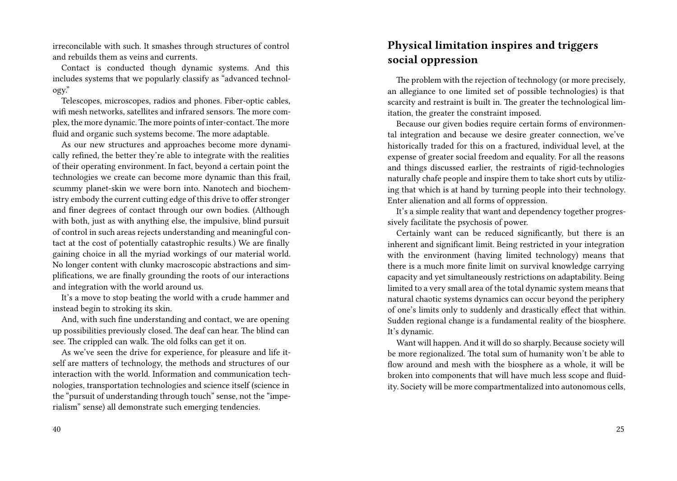irreconcilable with such. It smashes through structures of control and rebuilds them as veins and currents.

Contact is conducted though dynamic systems. And this includes systems that we popularly classify as "advanced technology."

Telescopes, microscopes, radios and phones. Fiber-optic cables, wifi mesh networks, satellites and infrared sensors. The more complex, the more dynamic. The more points of inter-contact. The more fluid and organic such systems become. The more adaptable.

As our new structures and approaches become more dynamically refined, the better they're able to integrate with the realities of their operating environment. In fact, beyond a certain point the technologies we create can become more dynamic than this frail, scummy planet-skin we were born into. Nanotech and biochemistry embody the current cutting edge of this drive to offer stronger and finer degrees of contact through our own bodies. (Although with both, just as with anything else, the impulsive, blind pursuit of control in such areas rejects understanding and meaningful contact at the cost of potentially catastrophic results.) We are finally gaining choice in all the myriad workings of our material world. No longer content with clunky macroscopic abstractions and simplifications, we are finally grounding the roots of our interactions and integration with the world around us.

It's a move to stop beating the world with a crude hammer and instead begin to stroking its skin.

And, with such fine understanding and contact, we are opening up possibilities previously closed. The deaf can hear. The blind can see. The crippled can walk. The old folks can get it on.

As we've seen the drive for experience, for pleasure and life itself are matters of technology, the methods and structures of our interaction with the world. Information and communication technologies, transportation technologies and science itself (science in the "pursuit of understanding through touch" sense, not the "imperialism" sense) all demonstrate such emerging tendencies.

#### 40

### **Physical limitation inspires and triggers social oppression**

The problem with the rejection of technology (or more precisely, an allegiance to one limited set of possible technologies) is that scarcity and restraint is built in. The greater the technological limitation, the greater the constraint imposed.

Because our given bodies require certain forms of environmental integration and because we desire greater connection, we've historically traded for this on a fractured, individual level, at the expense of greater social freedom and equality. For all the reasons and things discussed earlier, the restraints of rigid-technologies naturally chafe people and inspire them to take short cuts by utilizing that which is at hand by turning people into their technology. Enter alienation and all forms of oppression.

It's a simple reality that want and dependency together progressively facilitate the psychosis of power.

Certainly want can be reduced significantly, but there is an inherent and significant limit. Being restricted in your integration with the environment (having limited technology) means that there is a much more finite limit on survival knowledge carrying capacity and yet simultaneously restrictions on adaptability. Being limited to a very small area of the total dynamic system means that natural chaotic systems dynamics can occur beyond the periphery of one's limits only to suddenly and drastically effect that within. Sudden regional change is a fundamental reality of the biosphere. It's dynamic.

Want will happen. And it will do so sharply. Because society will be more regionalized. The total sum of humanity won't be able to flow around and mesh with the biosphere as a whole, it will be broken into components that will have much less scope and fluidity. Society will be more compartmentalized into autonomous cells,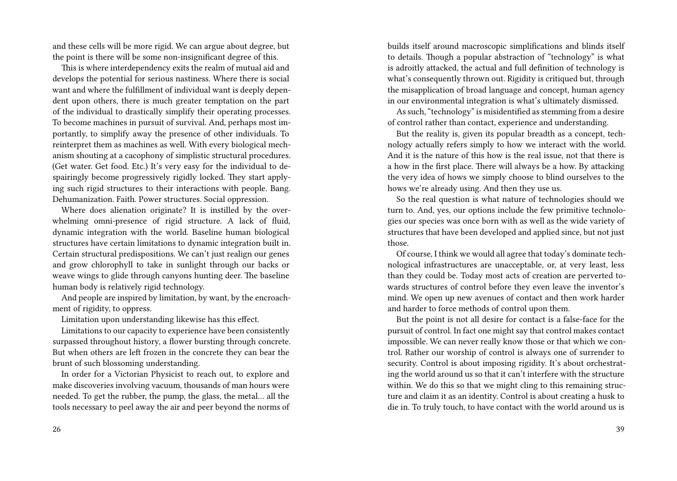and these cells will be more rigid. We can argue about degree, but the point is there will be some non-insignificant degree of this.

This is where interdependency exits the realm of mutual aid and develops the potential for serious nastiness. Where there is social want and where the fulfillment of individual want is deeply dependent upon others, there is much greater temptation on the part of the individual to drastically simplify their operating processes. To become machines in pursuit of survival. And, perhaps most importantly, to simplify away the presence of other individuals. To reinterpret them as machines as well. With every biological mechanism shouting at a cacophony of simplistic structural procedures. (Get water. Get food. Etc.) It's very easy for the individual to despairingly become progressively rigidly locked. They start applying such rigid structures to their interactions with people. Bang. Dehumanization. Faith. Power structures. Social oppression.

Where does alienation originate? It is instilled by the overwhelming omni-presence of rigid structure. A lack of fluid, dynamic integration with the world. Baseline human biological structures have certain limitations to dynamic integration built in. Certain structural predispositions. We can't just realign our genes and grow chlorophyll to take in sunlight through our backs or weave wings to glide through canyons hunting deer. The baseline human body is relatively rigid technology.

And people are inspired by limitation, by want, by the encroachment of rigidity, to oppress.

Limitation upon understanding likewise has this effect.

Limitations to our capacity to experience have been consistently surpassed throughout history, a flower bursting through concrete. But when others are left frozen in the concrete they can bear the brunt of such blossoming understanding.

In order for a Victorian Physicist to reach out, to explore and make discoveries involving vacuum, thousands of man hours were needed. To get the rubber, the pump, the glass, the metal… all the tools necessary to peel away the air and peer beyond the norms of builds itself around macroscopic simplifications and blinds itself to details. Though a popular abstraction of "technology" is what is adroitly attacked, the actual and full definition of technology is what's consequently thrown out. Rigidity is critiqued but, through the misapplication of broad language and concept, human agency in our environmental integration is what's ultimately dismissed.

As such, "technology" is misidentified as stemming from a desire of control rather than contact, experience and understanding.

But the reality is, given its popular breadth as a concept, technology actually refers simply to how we interact with the world. And it is the nature of this how is the real issue, not that there is a how in the first place. There will always be a how. By attacking the very idea of hows we simply choose to blind ourselves to the hows we're already using. And then they use us.

So the real question is what nature of technologies should we turn to. And, yes, our options include the few primitive technologies our species was once born with as well as the wide variety of structures that have been developed and applied since, but not just those.

Of course, I think we would all agree that today's dominate technological infrastructures are unacceptable, or, at very least, less than they could be. Today most acts of creation are perverted towards structures of control before they even leave the inventor's mind. We open up new avenues of contact and then work harder and harder to force methods of control upon them.

But the point is not all desire for contact is a false-face for the pursuit of control. In fact one might say that control makes contact impossible. We can never really know those or that which we control. Rather our worship of control is always one of surrender to security. Control is about imposing rigidity. It's about orchestrating the world around us so that it can't interfere with the structure within. We do this so that we might cling to this remaining structure and claim it as an identity. Control is about creating a husk to die in. To truly touch, to have contact with the world around us is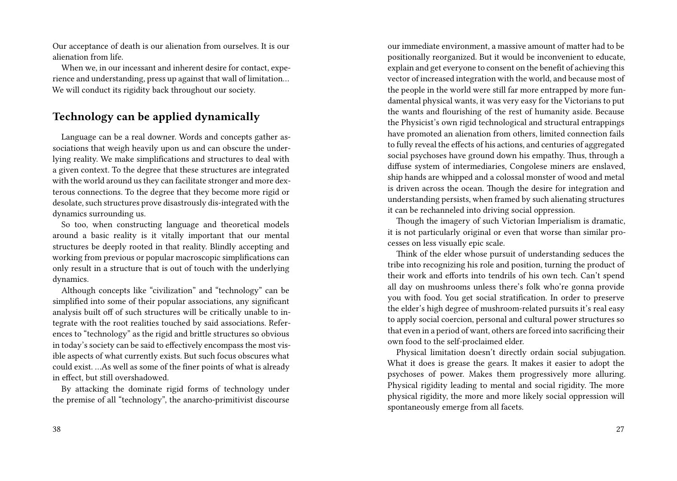Our acceptance of death is our alienation from ourselves. It is our alienation from life.

When we, in our incessant and inherent desire for contact, experience and understanding, press up against that wall of limitation… We will conduct its rigidity back throughout our society.

### **Technology can be applied dynamically**

Language can be a real downer. Words and concepts gather associations that weigh heavily upon us and can obscure the underlying reality. We make simplifications and structures to deal with a given context. To the degree that these structures are integrated with the world around us they can facilitate stronger and more dexterous connections. To the degree that they become more rigid or desolate, such structures prove disastrously dis-integrated with the dynamics surrounding us.

So too, when constructing language and theoretical models around a basic reality is it vitally important that our mental structures be deeply rooted in that reality. Blindly accepting and working from previous or popular macroscopic simplifications can only result in a structure that is out of touch with the underlying dynamics.

Although concepts like "civilization" and "technology" can be simplified into some of their popular associations, any significant analysis built off of such structures will be critically unable to integrate with the root realities touched by said associations. References to "technology" as the rigid and brittle structures so obvious in today's society can be said to effectively encompass the most visible aspects of what currently exists. But such focus obscures what could exist. …As well as some of the finer points of what is already in effect, but still overshadowed.

By attacking the dominate rigid forms of technology under the premise of all "technology", the anarcho-primitivist discourse

our immediate environment, a massive amount of matter had to be positionally reorganized. But it would be inconvenient to educate, explain and get everyone to consent on the benefit of achieving this vector of increased integration with the world, and because most of the people in the world were still far more entrapped by more fundamental physical wants, it was very easy for the Victorians to put the wants and flourishing of the rest of humanity aside. Because the Physicist's own rigid technological and structural entrappings have promoted an alienation from others, limited connection fails to fully reveal the effects of his actions, and centuries of aggregated social psychoses have ground down his empathy. Thus, through a diffuse system of intermediaries, Congolese miners are enslaved, ship hands are whipped and a colossal monster of wood and metal is driven across the ocean. Though the desire for integration and understanding persists, when framed by such alienating structures it can be rechanneled into driving social oppression.

Though the imagery of such Victorian Imperialism is dramatic, it is not particularly original or even that worse than similar processes on less visually epic scale.

Think of the elder whose pursuit of understanding seduces the tribe into recognizing his role and position, turning the product of their work and efforts into tendrils of his own tech. Can't spend all day on mushrooms unless there's folk who're gonna provide you with food. You get social stratification. In order to preserve the elder's high degree of mushroom-related pursuits it's real easy to apply social coercion, personal and cultural power structures so that even in a period of want, others are forced into sacrificing their own food to the self-proclaimed elder.

Physical limitation doesn't directly ordain social subjugation. What it does is grease the gears. It makes it easier to adopt the psychoses of power. Makes them progressively more alluring. Physical rigidity leading to mental and social rigidity. The more physical rigidity, the more and more likely social oppression will spontaneously emerge from all facets.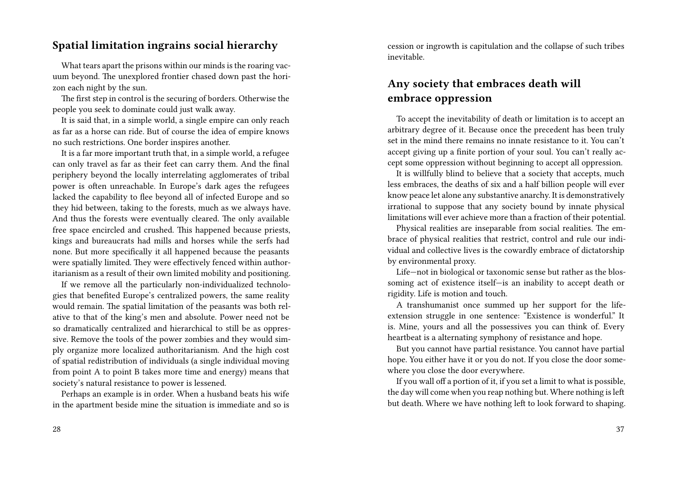#### **Spatial limitation ingrains social hierarchy**

What tears apart the prisons within our minds is the roaring vacuum beyond. The unexplored frontier chased down past the horizon each night by the sun.

The first step in control is the securing of borders. Otherwise the people you seek to dominate could just walk away.

It is said that, in a simple world, a single empire can only reach as far as a horse can ride. But of course the idea of empire knows no such restrictions. One border inspires another.

It is a far more important truth that, in a simple world, a refugee can only travel as far as their feet can carry them. And the final periphery beyond the locally interrelating agglomerates of tribal power is often unreachable. In Europe's dark ages the refugees lacked the capability to flee beyond all of infected Europe and so they hid between, taking to the forests, much as we always have. And thus the forests were eventually cleared. The only available free space encircled and crushed. This happened because priests, kings and bureaucrats had mills and horses while the serfs had none. But more specifically it all happened because the peasants were spatially limited. They were effectively fenced within authoritarianism as a result of their own limited mobility and positioning.

If we remove all the particularly non-individualized technologies that benefited Europe's centralized powers, the same reality would remain. The spatial limitation of the peasants was both relative to that of the king's men and absolute. Power need not be so dramatically centralized and hierarchical to still be as oppressive. Remove the tools of the power zombies and they would simply organize more localized authoritarianism. And the high cost of spatial redistribution of individuals (a single individual moving from point A to point B takes more time and energy) means that society's natural resistance to power is lessened.

Perhaps an example is in order. When a husband beats his wife in the apartment beside mine the situation is immediate and so is cession or ingrowth is capitulation and the collapse of such tribes inevitable.

### **Any society that embraces death will embrace oppression**

To accept the inevitability of death or limitation is to accept an arbitrary degree of it. Because once the precedent has been truly set in the mind there remains no innate resistance to it. You can't accept giving up a finite portion of your soul. You can't really accept some oppression without beginning to accept all oppression.

It is willfully blind to believe that a society that accepts, much less embraces, the deaths of six and a half billion people will ever know peace let alone any substantive anarchy. It is demonstratively irrational to suppose that any society bound by innate physical limitations will ever achieve more than a fraction of their potential.

Physical realities are inseparable from social realities. The embrace of physical realities that restrict, control and rule our individual and collective lives is the cowardly embrace of dictatorship by environmental proxy.

Life—not in biological or taxonomic sense but rather as the blossoming act of existence itself—is an inability to accept death or rigidity. Life is motion and touch.

A transhumanist once summed up her support for the lifeextension struggle in one sentence: "Existence is wonderful." It is. Mine, yours and all the possessives you can think of. Every heartbeat is a alternating symphony of resistance and hope.

But you cannot have partial resistance. You cannot have partial hope. You either have it or you do not. If you close the door somewhere you close the door everywhere.

If you wall off a portion of it, if you set a limit to what is possible, the day will come when you reap nothing but. Where nothing is left but death. Where we have nothing left to look forward to shaping.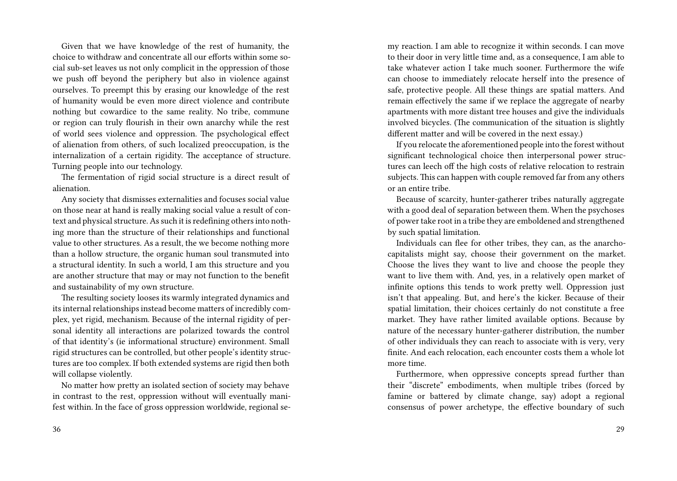Given that we have knowledge of the rest of humanity, the choice to withdraw and concentrate all our efforts within some social sub-set leaves us not only complicit in the oppression of those we push off beyond the periphery but also in violence against ourselves. To preempt this by erasing our knowledge of the rest of humanity would be even more direct violence and contribute nothing but cowardice to the same reality. No tribe, commune or region can truly flourish in their own anarchy while the rest of world sees violence and oppression. The psychological effect of alienation from others, of such localized preoccupation, is the internalization of a certain rigidity. The acceptance of structure. Turning people into our technology.

The fermentation of rigid social structure is a direct result of alienation.

Any society that dismisses externalities and focuses social value on those near at hand is really making social value a result of context and physical structure. As such it is redefining others into nothing more than the structure of their relationships and functional value to other structures. As a result, the we become nothing more than a hollow structure, the organic human soul transmuted into a structural identity. In such a world, I am this structure and you are another structure that may or may not function to the benefit and sustainability of my own structure.

The resulting society looses its warmly integrated dynamics and its internal relationships instead become matters of incredibly complex, yet rigid, mechanism. Because of the internal rigidity of personal identity all interactions are polarized towards the control of that identity's (ie informational structure) environment. Small rigid structures can be controlled, but other people's identity structures are too complex. If both extended systems are rigid then both will collapse violently.

No matter how pretty an isolated section of society may behave in contrast to the rest, oppression without will eventually manifest within. In the face of gross oppression worldwide, regional se-

my reaction. I am able to recognize it within seconds. I can move to their door in very little time and, as a consequence, I am able to take whatever action I take much sooner. Furthermore the wife can choose to immediately relocate herself into the presence of safe, protective people. All these things are spatial matters. And remain effectively the same if we replace the aggregate of nearby apartments with more distant tree houses and give the individuals involved bicycles. (The communication of the situation is slightly different matter and will be covered in the next essay.)

If you relocate the aforementioned people into the forest without significant technological choice then interpersonal power structures can leech off the high costs of relative relocation to restrain subjects. This can happen with couple removed far from any others or an entire tribe.

Because of scarcity, hunter-gatherer tribes naturally aggregate with a good deal of separation between them. When the psychoses of power take root in a tribe they are emboldened and strengthened by such spatial limitation.

Individuals can flee for other tribes, they can, as the anarchocapitalists might say, choose their government on the market. Choose the lives they want to live and choose the people they want to live them with. And, yes, in a relatively open market of infinite options this tends to work pretty well. Oppression just isn't that appealing. But, and here's the kicker. Because of their spatial limitation, their choices certainly do not constitute a free market. They have rather limited available options. Because by nature of the necessary hunter-gatherer distribution, the number of other individuals they can reach to associate with is very, very finite. And each relocation, each encounter costs them a whole lot more time.

Furthermore, when oppressive concepts spread further than their "discrete" embodiments, when multiple tribes (forced by famine or battered by climate change, say) adopt a regional consensus of power archetype, the effective boundary of such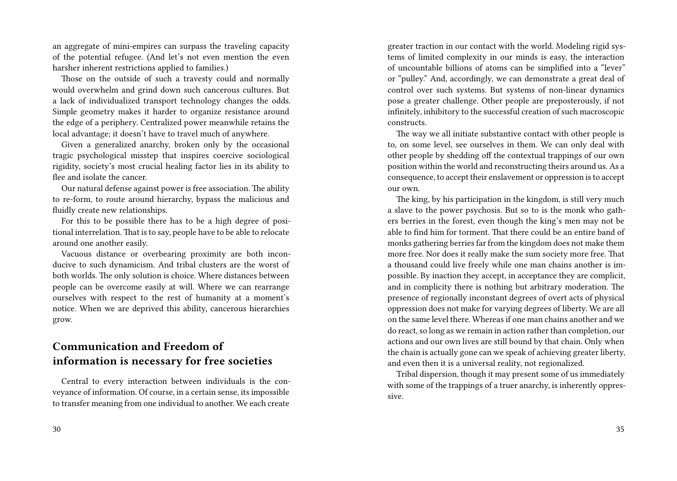an aggregate of mini-empires can surpass the traveling capacity of the potential refugee. (And let's not even mention the even harsher inherent restrictions applied to families.)

Those on the outside of such a travesty could and normally would overwhelm and grind down such cancerous cultures. But a lack of individualized transport technology changes the odds. Simple geometry makes it harder to organize resistance around the edge of a periphery. Centralized power meanwhile retains the local advantage; it doesn't have to travel much of anywhere.

Given a generalized anarchy, broken only by the occasional tragic psychological misstep that inspires coercive sociological rigidity, society's most crucial healing factor lies in its ability to flee and isolate the cancer.

Our natural defense against power is free association. The ability to re-form, to route around hierarchy, bypass the malicious and fluidly create new relationships.

For this to be possible there has to be a high degree of positional interrelation. That is to say, people have to be able to relocate around one another easily.

Vacuous distance or overbearing proximity are both inconducive to such dynamicism. And tribal clusters are the worst of both worlds. The only solution is choice. Where distances between people can be overcome easily at will. Where we can rearrange ourselves with respect to the rest of humanity at a moment's notice. When we are deprived this ability, cancerous hierarchies grow.

## **Communication and Freedom of information is necessary for free societies**

Central to every interaction between individuals is the conveyance of information. Of course, in a certain sense, its impossible to transfer meaning from one individual to another. We each create

greater traction in our contact with the world. Modeling rigid systems of limited complexity in our minds is easy, the interaction of uncountable billions of atoms can be simplified into a "lever" or "pulley." And, accordingly, we can demonstrate a great deal of control over such systems. But systems of non-linear dynamics pose a greater challenge. Other people are preposterously, if not infinitely, inhibitory to the successful creation of such macroscopic constructs.

The way we all initiate substantive contact with other people is to, on some level, see ourselves in them. We can only deal with other people by shedding off the contextual trappings of our own position within the world and reconstructing theirs around us. As a consequence, to accept their enslavement or oppression is to accept our own.

The king, by his participation in the kingdom, is still very much a slave to the power psychosis. But so to is the monk who gathers berries in the forest, even though the king's men may not be able to find him for torment. That there could be an entire band of monks gathering berries far from the kingdom does not make them more free. Nor does it really make the sum society more free. That a thousand could live freely while one man chains another is impossible. By inaction they accept, in acceptance they are complicit, and in complicity there is nothing but arbitrary moderation. The presence of regionally inconstant degrees of overt acts of physical oppression does not make for varying degrees of liberty. We are all on the same level there. Whereas if one man chains another and we do react, so long as we remain in action rather than completion, our actions and our own lives are still bound by that chain. Only when the chain is actually gone can we speak of achieving greater liberty, and even then it is a universal reality, not regionalized.

Tribal dispersion, though it may present some of us immediately with some of the trappings of a truer anarchy, is inherently oppressive.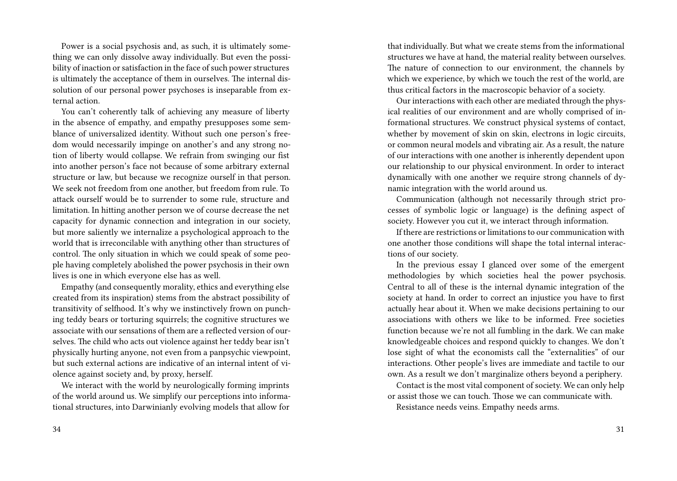Power is a social psychosis and, as such, it is ultimately something we can only dissolve away individually. But even the possibility of inaction or satisfaction in the face of such power structures is ultimately the acceptance of them in ourselves. The internal dissolution of our personal power psychoses is inseparable from external action.

You can't coherently talk of achieving any measure of liberty in the absence of empathy, and empathy presupposes some semblance of universalized identity. Without such one person's freedom would necessarily impinge on another's and any strong notion of liberty would collapse. We refrain from swinging our fist into another person's face not because of some arbitrary external structure or law, but because we recognize ourself in that person. We seek not freedom from one another, but freedom from rule. To attack ourself would be to surrender to some rule, structure and limitation. In hitting another person we of course decrease the net capacity for dynamic connection and integration in our society, but more saliently we internalize a psychological approach to the world that is irreconcilable with anything other than structures of control. The only situation in which we could speak of some people having completely abolished the power psychosis in their own lives is one in which everyone else has as well.

Empathy (and consequently morality, ethics and everything else created from its inspiration) stems from the abstract possibility of transitivity of selfhood. It's why we instinctively frown on punching teddy bears or torturing squirrels; the cognitive structures we associate with our sensations of them are a reflected version of ourselves. The child who acts out violence against her teddy bear isn't physically hurting anyone, not even from a panpsychic viewpoint, but such external actions are indicative of an internal intent of violence against society and, by proxy, herself.

We interact with the world by neurologically forming imprints of the world around us. We simplify our perceptions into informational structures, into Darwinianly evolving models that allow for

that individually. But what we create stems from the informational structures we have at hand, the material reality between ourselves. The nature of connection to our environment, the channels by which we experience, by which we touch the rest of the world, are thus critical factors in the macroscopic behavior of a society.

Our interactions with each other are mediated through the physical realities of our environment and are wholly comprised of informational structures. We construct physical systems of contact, whether by movement of skin on skin, electrons in logic circuits, or common neural models and vibrating air. As a result, the nature of our interactions with one another is inherently dependent upon our relationship to our physical environment. In order to interact dynamically with one another we require strong channels of dynamic integration with the world around us.

Communication (although not necessarily through strict processes of symbolic logic or language) is the defining aspect of society. However you cut it, we interact through information.

If there are restrictions or limitations to our communication with one another those conditions will shape the total internal interactions of our society.

In the previous essay I glanced over some of the emergent methodologies by which societies heal the power psychosis. Central to all of these is the internal dynamic integration of the society at hand. In order to correct an injustice you have to first actually hear about it. When we make decisions pertaining to our associations with others we like to be informed. Free societies function because we're not all fumbling in the dark. We can make knowledgeable choices and respond quickly to changes. We don't lose sight of what the economists call the "externalities" of our interactions. Other people's lives are immediate and tactile to our own. As a result we don't marginalize others beyond a periphery.

Contact is the most vital component of society. We can only help or assist those we can touch. Those we can communicate with.

Resistance needs veins. Empathy needs arms.